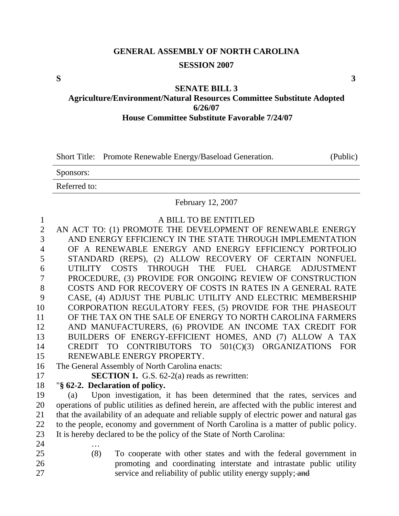# **GENERAL ASSEMBLY OF NORTH CAROLINA SESSION 2007**

**S 3** 

#### **SENATE BILL 3**

**Agriculture/Environment/Natural Resources Committee Substitute Adopted 6/26/07 House Committee Substitute Favorable 7/24/07** 

Short Title: Promote Renewable Energy/Baseload Generation. (Public)

Sponsors:

Referred to:

February 12, 2007

| $\mathbf{1}$   | A BILL TO BE ENTITLED                                                                       |
|----------------|---------------------------------------------------------------------------------------------|
| $\overline{2}$ | AN ACT TO: (1) PROMOTE THE DEVELOPMENT OF RENEWABLE ENERGY                                  |
| 3              | AND ENERGY EFFICIENCY IN THE STATE THROUGH IMPLEMENTATION                                   |
| $\overline{4}$ | OF A RENEWABLE ENERGY AND ENERGY EFFICIENCY PORTFOLIO                                       |
| 5              | STANDARD (REPS), (2) ALLOW RECOVERY OF CERTAIN NONFUEL                                      |
| 6              | UTILITY COSTS THROUGH THE FUEL CHARGE<br><b>ADJUSTMENT</b>                                  |
| $\tau$         | PROCEDURE, (3) PROVIDE FOR ONGOING REVIEW OF CONSTRUCTION                                   |
| 8              | COSTS AND FOR RECOVERY OF COSTS IN RATES IN A GENERAL RATE                                  |
| 9              | CASE, (4) ADJUST THE PUBLIC UTILITY AND ELECTRIC MEMBERSHIP                                 |
| 10             | CORPORATION REGULATORY FEES, (5) PROVIDE FOR THE PHASEOUT                                   |
| 11             | OF THE TAX ON THE SALE OF ENERGY TO NORTH CAROLINA FARMERS                                  |
| 12             | AND MANUFACTURERS, (6) PROVIDE AN INCOME TAX CREDIT FOR                                     |
| 13             | BUILDERS OF ENERGY-EFFICIENT HOMES, AND (7) ALLOW A TAX                                     |
| 14             | CREDIT TO CONTRIBUTORS TO 501(C)(3) ORGANIZATIONS<br><b>FOR</b>                             |
| 15             | RENEWABLE ENERGY PROPERTY.                                                                  |
| 16             | The General Assembly of North Carolina enacts:                                              |
| 17             | <b>SECTION 1.</b> G.S. $62-2(a)$ reads as rewritten:                                        |
| 18             | "§ 62-2. Declaration of policy.                                                             |
| 19             | Upon investigation, it has been determined that the rates, services and<br>(a)              |
| 20             | operations of public utilities as defined herein, are affected with the public interest and |
| 21             | that the availability of an adequate and reliable supply of electric power and natural gas  |
| 22             | to the people, economy and government of North Carolina is a matter of public policy.       |
| 23             | It is hereby declared to be the policy of the State of North Carolina:                      |
| 24             |                                                                                             |
| 25             | (8)<br>To cooperate with other states and with the federal government in                    |
| 26             | promoting and coordinating interstate and intrastate public utility                         |
| 27             | service and reliability of public utility energy supply; and                                |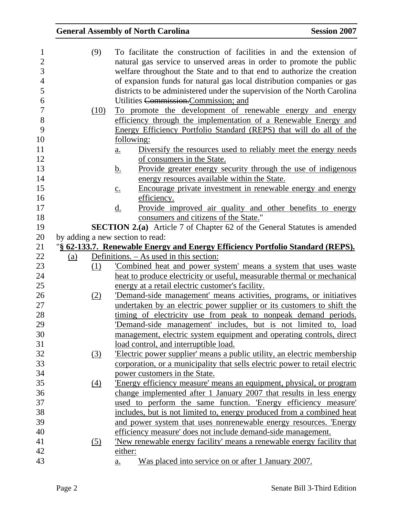| 1              |            | (9)        | To facilitate the construction of facilities in and the extension of                                                                     |
|----------------|------------|------------|------------------------------------------------------------------------------------------------------------------------------------------|
| $\overline{2}$ |            |            | natural gas service to unserved areas in order to promote the public                                                                     |
| 3              |            |            | welfare throughout the State and to that end to authorize the creation                                                                   |
| $\overline{4}$ |            |            | of expansion funds for natural gas local distribution companies or gas                                                                   |
| 5              |            |            | districts to be administered under the supervision of the North Carolina                                                                 |
| 6              |            |            | Utilities Commission.Commission; and                                                                                                     |
| 7              |            | (10)       | To promote the development of renewable energy and energy                                                                                |
| 8              |            |            | efficiency through the implementation of a Renewable Energy and                                                                          |
| 9              |            |            | Energy Efficiency Portfolio Standard (REPS) that will do all of the                                                                      |
| 10             |            |            | following:                                                                                                                               |
| 11             |            |            | Diversify the resources used to reliably meet the energy needs<br>$\underline{a}$ .                                                      |
| 12             |            |            | of consumers in the State.                                                                                                               |
| 13             |            |            | Provide greater energy security through the use of indigenous<br><u>b.</u>                                                               |
| 14             |            |            | energy resources available within the State.                                                                                             |
| 15             |            |            | Encourage private investment in renewable energy and energy<br>$\underline{c}$ .                                                         |
| 16             |            |            | efficiency.                                                                                                                              |
| 17             |            |            | Provide improved air quality and other benefits to energy<br><u>d.</u>                                                                   |
| 18             |            |            | consumers and citizens of the State."                                                                                                    |
| 19             |            |            | <b>SECTION 2.(a)</b> Article 7 of Chapter 62 of the General Statutes is amended                                                          |
| 20             |            |            | by adding a new section to read:                                                                                                         |
| 21             |            |            | "§ 62-133.7. Renewable Energy and Energy Efficiency Portfolio Standard (REPS).                                                           |
| 22             | <u>(a)</u> |            | Definitions. – As used in this section:                                                                                                  |
| 23             |            | (1)        | Combined heat and power system' means a system that uses waste                                                                           |
| 24             |            |            | heat to produce electricity or useful, measurable thermal or mechanical                                                                  |
| 25             |            |            | energy at a retail electric customer's facility.                                                                                         |
|                |            |            |                                                                                                                                          |
|                |            | (2)        |                                                                                                                                          |
| 26<br>27       |            |            | 'Demand-side management' means activities, programs, or initiatives                                                                      |
| 28             |            |            | undertaken by an electric power supplier or its customers to shift the<br>timing of electricity use from peak to nonpeak demand periods. |
| 29             |            |            | 'Demand-side management' includes, but is not limited to, load                                                                           |
| 30             |            |            |                                                                                                                                          |
| 31             |            |            | management, electric system equipment and operating controls, direct<br>load control, and interruptible load.                            |
| 32             |            | (3)        | Electric power supplier' means a public utility, an electric membership                                                                  |
|                |            |            |                                                                                                                                          |
| 33             |            |            | corporation, or a municipality that sells electric power to retail electric<br>power customers in the State.                             |
| 34<br>35       |            | (4)        | Energy efficiency measure' means an equipment, physical, or program                                                                      |
| 36             |            |            | change implemented after 1 January 2007 that results in less energy                                                                      |
| 37             |            |            | used to perform the same function. Energy efficiency measure                                                                             |
| 38             |            |            | includes, but is not limited to, energy produced from a combined heat                                                                    |
| 39             |            |            | and power system that uses nonrenewable energy resources. 'Energy                                                                        |
| 40             |            |            | efficiency measure' does not include demand-side management.                                                                             |
| 41             |            | <u>(5)</u> | <u>New renewable energy facility means a renewable energy facility that</u>                                                              |
| 42             |            |            | either:                                                                                                                                  |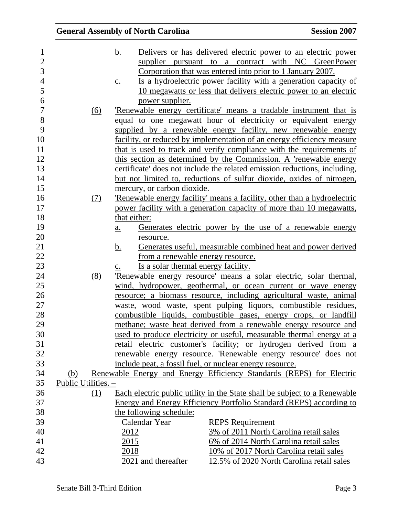| $\mathbf{1}$   |                     |     | Delivers or has delivered electric power to an electric power<br><u>b.</u>           |
|----------------|---------------------|-----|--------------------------------------------------------------------------------------|
| $\overline{2}$ |                     |     | supplier pursuant to a contract with NC GreenPower                                   |
| 3              |                     |     | Corporation that was entered into prior to 1 January 2007.                           |
| $\overline{4}$ |                     |     | Is a hydroelectric power facility with a generation capacity of<br>$\underline{c}$ . |
| 5              |                     |     | 10 megawatts or less that delivers electric power to an electric                     |
| 6              |                     |     | power supplier.                                                                      |
| $\overline{7}$ |                     | (6) | 'Renewable energy certificate' means a tradable instrument that is                   |
| 8              |                     |     | equal to one megawatt hour of electricity or equivalent energy                       |
| 9              |                     |     | supplied by a renewable energy facility, new renewable energy                        |
| 10             |                     |     | facility, or reduced by implementation of an energy efficiency measure               |
| 11             |                     |     | that is used to track and verify compliance with the requirements of                 |
| 12             |                     |     | this section as determined by the Commission. A 'renewable energy                    |
| 13             |                     |     | certificate' does not include the related emission reductions, including,            |
| 14             |                     |     | but not limited to, reductions of sulfur dioxide, oxides of nitrogen,                |
| 15             |                     |     | mercury, or carbon dioxide.                                                          |
| 16             |                     | (7) | Renewable energy facility' means a facility, other than a hydroelectric              |
| 17             |                     |     | power facility with a generation capacity of more than 10 megawatts,                 |
| 18             |                     |     | that either:                                                                         |
| 19             |                     |     | Generates electric power by the use of a renewable energy<br>$\underline{a}$ .       |
| 20             |                     |     | resource.                                                                            |
| 21             |                     |     | Generates useful, measurable combined heat and power derived<br><u>b.</u>            |
| 22             |                     |     | from a renewable energy resource.                                                    |
| 23             |                     |     | Is a solar thermal energy facility.<br>$\mathbf{c}$ .                                |
| 24             |                     | (8) | Renewable energy resource' means a solar electric, solar thermal,                    |
| 25             |                     |     | wind, hydropower, geothermal, or ocean current or wave energy                        |
| 26             |                     |     | resource; a biomass resource, including agricultural waste, animal                   |
| 27             |                     |     | waste, wood waste, spent pulping liquors, combustible residues,                      |
| 28             |                     |     | combustible liquids, combustible gases, energy crops, or landfill                    |
| 29             |                     |     | methane; waste heat derived from a renewable energy resource and                     |
| 30             |                     |     | used to produce electricity or useful, measurable thermal energy at a                |
| 31             |                     |     | retail electric customer's facility; or hydrogen derived from a                      |
| 32             |                     |     | renewable energy resource. 'Renewable energy resource' does not                      |
| 33             |                     |     | include peat, a fossil fuel, or nuclear energy resource.                             |
| 34             | <u>(b)</u>          |     | Renewable Energy and Energy Efficiency Standards (REPS) for Electric                 |
| 35             | Public Utilities. - |     |                                                                                      |
| 36             |                     | (1) | Each electric public utility in the State shall be subject to a Renewable            |
| 37             |                     |     | Energy and Energy Efficiency Portfolio Standard (REPS) according to                  |
| 38             |                     |     | the following schedule:                                                              |
| 39             |                     |     | Calendar Year<br><b>REPS</b> Requirement                                             |
| 40             |                     |     | 3% of 2011 North Carolina retail sales<br>2012                                       |
| 41             |                     |     | 2015<br>6% of 2014 North Carolina retail sales                                       |
| 42             |                     |     | 10% of 2017 North Carolina retail sales<br>2018                                      |
| 43             |                     |     | 2021 and thereafter<br>12.5% of 2020 North Carolina retail sales                     |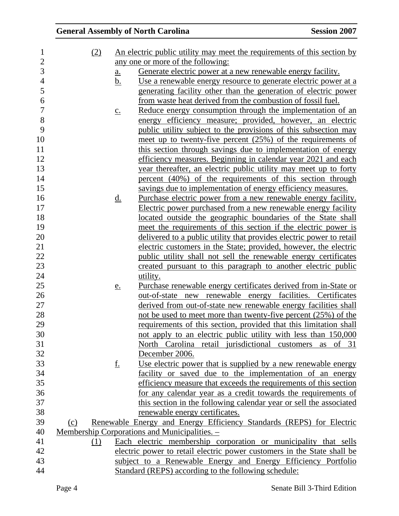| 1                | (2) |                   | An electric public utility may meet the requirements of this section by |
|------------------|-----|-------------------|-------------------------------------------------------------------------|
| $\overline{2}$   |     |                   | any one or more of the following:                                       |
| 3                |     | <u>a.</u>         | Generate electric power at a new renewable energy facility.             |
| $\overline{4}$   |     | <u>b.</u>         | Use a renewable energy resource to generate electric power at a         |
| 5                |     |                   | generating facility other than the generation of electric power         |
| $\boldsymbol{6}$ |     |                   | from waste heat derived from the combustion of fossil fuel.             |
| $\overline{7}$   |     | $\underline{c}$ . | Reduce energy consumption through the implementation of an              |
| $8\,$            |     |                   | energy efficiency measure; provided, however, an electric               |
| 9                |     |                   | public utility subject to the provisions of this subsection may         |
| 10               |     |                   | meet up to twenty-five percent $(25%)$ of the requirements of           |
| 11               |     |                   | this section through savings due to implementation of energy            |
| 12               |     |                   | efficiency measures. Beginning in calendar year 2021 and each           |
| 13               |     |                   | year thereafter, an electric public utility may meet up to forty        |
| 14               |     |                   | percent (40%) of the requirements of this section through               |
| 15               |     |                   | savings due to implementation of energy efficiency measures.            |
| 16               |     | <u>d.</u>         | Purchase electric power from a new renewable energy facility.           |
| 17               |     |                   | Electric power purchased from a new renewable energy facility           |
| 18               |     |                   | located outside the geographic boundaries of the State shall            |
| 19               |     |                   | meet the requirements of this section if the electric power is          |
| 20               |     |                   | delivered to a public utility that provides electric power to retail    |
| 21               |     |                   | electric customers in the State; provided, however, the electric        |
| 22               |     |                   | public utility shall not sell the renewable energy certificates         |
| 23               |     |                   | created pursuant to this paragraph to another electric public           |
| 24               |     |                   | utility.                                                                |
| 25               |     | e.                | Purchase renewable energy certificates derived from in-State or         |
| 26               |     |                   | out-of-state new renewable energy facilities. Certificates              |
| 27               |     |                   | derived from out-of-state new renewable energy facilities shall         |
| 28               |     |                   | not be used to meet more than twenty-five percent (25%) of the          |
| 29               |     |                   | requirements of this section, provided that this limitation shall       |
| 30               |     |                   | not apply to an electric public utility with less than 150,000          |
| 31               |     |                   | North Carolina retail jurisdictional customers as of 31                 |
| 32               |     |                   | December 2006.                                                          |
| 33               |     | <u>f.</u>         | Use electric power that is supplied by a new renewable energy           |
| 34               |     |                   | facility or saved due to the implementation of an energy                |
| 35               |     |                   | efficiency measure that exceeds the requirements of this section        |
| 36               |     |                   | for any calendar year as a credit towards the requirements of           |
| 37               |     |                   | this section in the following calendar year or sell the associated      |
| 38               |     |                   | renewable energy certificates.                                          |
| 39               | (c) |                   | Renewable Energy and Energy Efficiency Standards (REPS) for Electric    |
| 40               |     |                   | Membership Corporations and Municipalities. -                           |
| 41               | (1) |                   | Each electric membership corporation or municipality that sells         |
| 42               |     |                   | electric power to retail electric power customers in the State shall be |
| 43               |     |                   | subject to a Renewable Energy and Energy Efficiency Portfolio           |
| 44               |     |                   | Standard (REPS) according to the following schedule:                    |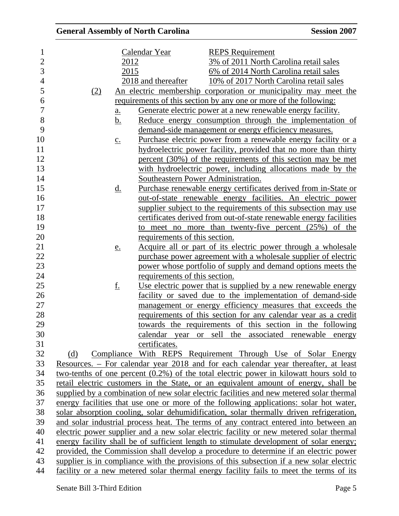| $\mathbf 1$    |                   | Calendar Year                      | <b>REPS</b> Requirement                                                                   |
|----------------|-------------------|------------------------------------|-------------------------------------------------------------------------------------------|
| $\overline{2}$ | 2012              |                                    | 3% of 2011 North Carolina retail sales                                                    |
| 3              | 2015              |                                    | 6% of 2014 North Carolina retail sales                                                    |
| $\overline{4}$ |                   | 2018 and thereafter                | 10% of 2017 North Carolina retail sales                                                   |
| 5              | (2)               |                                    | An electric membership corporation or municipality may meet the                           |
| 6              |                   |                                    | requirements of this section by any one or more of the following:                         |
| 7              | a.                |                                    | Generate electric power at a new renewable energy facility.                               |
| 8              | b.                |                                    | Reduce energy consumption through the implementation of                                   |
| 9              |                   |                                    | demand-side management or energy efficiency measures.                                     |
| 10             | $\underline{c}$ . |                                    | <u>Purchase electric power from a renewable energy facility or a</u>                      |
| 11             |                   |                                    | hydroelectric power facility, provided that no more than thirty                           |
| 12             |                   |                                    | percent (30%) of the requirements of this section may be met                              |
| 13             |                   |                                    | with hydroelectric power, including allocations made by the                               |
| 14             |                   | Southeastern Power Administration. |                                                                                           |
| 15             | <u>d.</u>         |                                    | Purchase renewable energy certificates derived from in-State or                           |
| 16             |                   |                                    | out-of-state renewable energy facilities. An electric power                               |
| 17             |                   |                                    | supplier subject to the requirements of this subsection may use                           |
| 18             |                   |                                    | certificates derived from out-of-state renewable energy facilities                        |
| 19             |                   |                                    | to meet no more than twenty-five percent $(25%)$ of the                                   |
| 20             |                   | requirements of this section.      |                                                                                           |
| 21             | e.                |                                    | Acquire all or part of its electric power through a wholesale                             |
| 22             |                   |                                    | purchase power agreement with a wholesale supplier of electric                            |
| 23             |                   |                                    | power whose portfolio of supply and demand options meets the                              |
| 24             |                   | requirements of this section.      |                                                                                           |
| 25             | <u>f.</u>         |                                    | Use electric power that is supplied by a new renewable energy                             |
| 26             |                   |                                    | facility or saved due to the implementation of demand-side                                |
| 27             |                   |                                    | management or energy efficiency measures that exceeds the                                 |
| 28             |                   |                                    | requirements of this section for any calendar year as a credit                            |
| 29             |                   |                                    | towards the requirements of this section in the following                                 |
| 30             |                   |                                    | calendar year or sell the associated renewable energy                                     |
| 31             |                   | certificates.                      |                                                                                           |
| 32             | (d)               |                                    | Compliance With REPS Requirement Through Use of Solar Energy                              |
| 33             |                   |                                    | Resources. – For calendar year 2018 and for each calendar year thereafter, at least       |
| 34             |                   |                                    | two-tenths of one percent $(0.2\%)$ of the total electric power in kilowatt hours sold to |
| 35             |                   |                                    | retail electric customers in the State, or an equivalent amount of energy, shall be       |
| 36             |                   |                                    | supplied by a combination of new solar electric facilities and new metered solar thermal  |
| 37             |                   |                                    | energy facilities that use one or more of the following applications: solar hot water,    |
| 38             |                   |                                    | solar absorption cooling, solar dehumidification, solar thermally driven refrigeration,   |
| 39             |                   |                                    | and solar industrial process heat. The terms of any contract entered into between an      |
| 40             |                   |                                    | electric power supplier and a new solar electric facility or new metered solar thermal    |
| 41             |                   |                                    | energy facility shall be of sufficient length to stimulate development of solar energy;   |
| 42             |                   |                                    | provided, the Commission shall develop a procedure to determine if an electric power      |
| 43             |                   |                                    | supplier is in compliance with the provisions of this subsection if a new solar electric  |
| 44             |                   |                                    | facility or a new metered solar thermal energy facility fails to meet the terms of its    |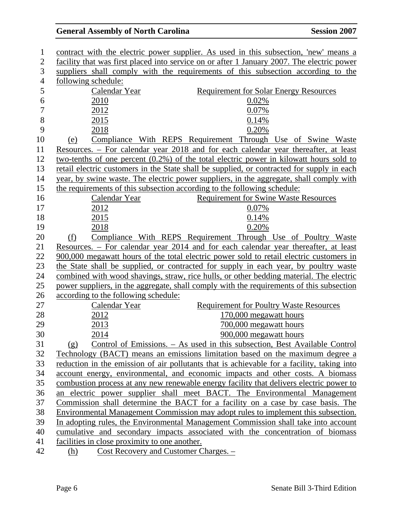| $\mathbf{1}$   |     |                                               | contract with the electric power supplier. As used in this subsection, 'new' means a       |
|----------------|-----|-----------------------------------------------|--------------------------------------------------------------------------------------------|
| $\overline{2}$ |     |                                               | facility that was first placed into service on or after 1 January 2007. The electric power |
| 3              |     |                                               | suppliers shall comply with the requirements of this subsection according to the           |
| $\overline{4}$ |     | following schedule:                           |                                                                                            |
| 5              |     | Calendar Year                                 | <b>Requirement for Solar Energy Resources</b>                                              |
| 6              |     | 2010                                          | 0.02%                                                                                      |
| $\overline{7}$ |     | 2012                                          | 0.07%                                                                                      |
| 8              |     | 2015                                          | 0.14%                                                                                      |
| 9              |     | 2018                                          | 0.20%                                                                                      |
| 10             | (e) |                                               | Compliance With REPS Requirement Through Use of Swine Waste                                |
| 11             |     |                                               | <u>Resources. – For calendar year 2018 and for each calendar year thereafter, at least</u> |
| 12             |     |                                               | two-tenths of one percent $(0.2\%)$ of the total electric power in kilowatt hours sold to  |
| 13             |     |                                               | retail electric customers in the State shall be supplied, or contracted for supply in each |
| 14             |     |                                               | year, by swine waste. The electric power suppliers, in the aggregate, shall comply with    |
| 15             |     |                                               | the requirements of this subsection according to the following schedule:                   |
| 16             |     | Calendar Year                                 | <b>Requirement for Swine Waste Resources</b>                                               |
| 17             |     | 2012                                          | 0.07%                                                                                      |
| 18             |     | 2015                                          | 0.14%                                                                                      |
| 19             |     | 2018                                          | 0.20%                                                                                      |
| 20             | (f) |                                               | Compliance With REPS Requirement Through Use of Poultry Waste                              |
| 21             |     |                                               | Resources. – For calendar year 2014 and for each calendar year thereafter, at least        |
| 22             |     |                                               | 900,000 megawatt hours of the total electric power sold to retail electric customers in    |
| 23             |     |                                               | the State shall be supplied, or contracted for supply in each year, by poultry waste       |
| 24             |     |                                               | combined with wood shavings, straw, rice hulls, or other bedding material. The electric    |
| 25             |     |                                               | power suppliers, in the aggregate, shall comply with the requirements of this subsection   |
| 26             |     | according to the following schedule:          |                                                                                            |
| 27             |     | Calendar Year                                 | <b>Requirement for Poultry Waste Resources</b>                                             |
| 28             |     | 2012                                          | 170,000 megawatt hours                                                                     |
| 29             |     | 2013                                          | 700,000 megawatt hours                                                                     |
| 30             |     | 2014                                          | 900,000 megawatt hours                                                                     |
| 31             | (g) |                                               | Control of Emissions. – As used in this subsection, Best Available Control                 |
| 32             |     |                                               | Technology (BACT) means an emissions limitation based on the maximum degree a              |
| 33             |     |                                               | reduction in the emission of air pollutants that is achievable for a facility, taking into |
| 34             |     |                                               | account energy, environmental, and economic impacts and other costs. A biomass             |
| 35             |     |                                               | combustion process at any new renewable energy facility that delivers electric power to    |
| 36             |     |                                               | an electric power supplier shall meet BACT. The Environmental Management                   |
| 37             |     |                                               | Commission shall determine the BACT for a facility on a case by case basis. The            |
| 38             |     |                                               | Environmental Management Commission may adopt rules to implement this subsection.          |
| 39             |     |                                               | In adopting rules, the Environmental Management Commission shall take into account         |
| 40             |     |                                               | cumulative and secondary impacts associated with the concentration of biomass              |
| 41             |     | facilities in close proximity to one another. |                                                                                            |
| 42             | (h) |                                               | Cost Recovery and Customer Charges. -                                                      |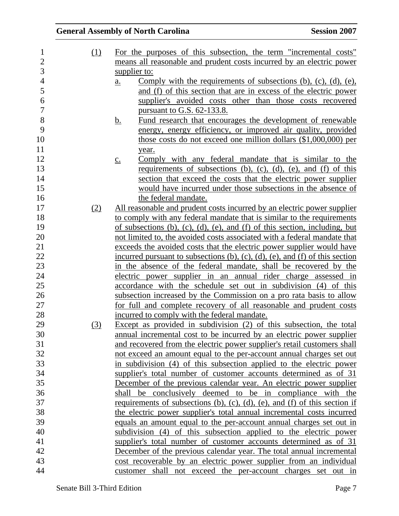| $\mathbf{1}$   | (1) | For the purposes of this subsection, the term "incremental costs"                                |
|----------------|-----|--------------------------------------------------------------------------------------------------|
| $\overline{2}$ |     | means all reasonable and prudent costs incurred by an electric power                             |
| 3              |     | supplier to:                                                                                     |
| $\overline{4}$ |     | Comply with the requirements of subsections $(b)$ , $(c)$ , $(d)$ , $(e)$ ,<br>$\underline{a}$ . |
| 5              |     | and (f) of this section that are in excess of the electric power                                 |
| 6              |     | supplier's avoided costs other than those costs recovered                                        |
| $\tau$         |     | pursuant to G.S. 62-133.8.                                                                       |
| 8              |     | Fund research that encourages the development of renewable<br><u>b.</u>                          |
| 9              |     | energy, energy efficiency, or improved air quality, provided                                     |
| 10             |     | those costs do not exceed one million dollars (\$1,000,000) per                                  |
| 11             |     | year.                                                                                            |
| 12             |     | Comply with any federal mandate that is similar to the<br>$\underline{c}$ .                      |
| 13             |     | requirements of subsections (b), (c), (d), (e), and $(f)$ of this                                |
| 14             |     | section that exceed the costs that the electric power supplier                                   |
| 15             |     | would have incurred under those subsections in the absence of                                    |
| 16             |     | the federal mandate.                                                                             |
| 17             | (2) | <u>All reasonable and prudent costs incurred by an electric power supplier</u>                   |
| 18             |     | to comply with any federal mandate that is similar to the requirements                           |
| 19             |     | of subsections $(b)$ , $(c)$ , $(d)$ , $(e)$ , and $(f)$ of this section, including, but         |
| 20             |     | not limited to, the avoided costs associated with a federal mandate that                         |
| 21             |     | exceeds the avoided costs that the electric power supplier would have                            |
| 22             |     | incurred pursuant to subsections $(b)$ , $(c)$ , $(d)$ , $(e)$ , and $(f)$ of this section       |
| 23             |     | in the absence of the federal mandate, shall be recovered by the                                 |
| 24             |     | electric power supplier in an annual rider charge assessed in                                    |
| 25             |     | accordance with the schedule set out in subdivision (4) of this                                  |
| 26             |     | subsection increased by the Commission on a pro rata basis to allow                              |
| 27             |     | for full and complete recovery of all reasonable and prudent costs                               |
| 28             |     | incurred to comply with the federal mandate.                                                     |
| 29             | (3) | Except as provided in subdivision $(2)$ of this subsection, the total                            |
| 30             |     | annual incremental cost to be incurred by an electric power supplier                             |
| 31             |     | and recovered from the electric power supplier's retail customers shall                          |
| 32             |     | not exceed an amount equal to the per-account annual charges set out                             |
| 33             |     | in subdivision (4) of this subsection applied to the electric power                              |
| 34             |     | supplier's total number of customer accounts determined as of 31                                 |
| 35             |     | December of the previous calendar year. An electric power supplier                               |
| 36             |     | shall be conclusively deemed to be in compliance with the                                        |
| 37             |     | requirements of subsections (b), (c), (d), (e), and (f) of this section if                       |
| 38             |     | the electric power supplier's total annual incremental costs incurred                            |
| 39             |     | equals an amount equal to the per-account annual charges set out in                              |
| 40             |     | subdivision (4) of this subsection applied to the electric power                                 |
| 41             |     | supplier's total number of customer accounts determined as of 31                                 |
| 42             |     | December of the previous calendar year. The total annual incremental                             |
| 43             |     | cost recoverable by an electric power supplier from an individual                                |
| 44             |     | customer shall not exceed the per-account charges set out in                                     |
|                |     |                                                                                                  |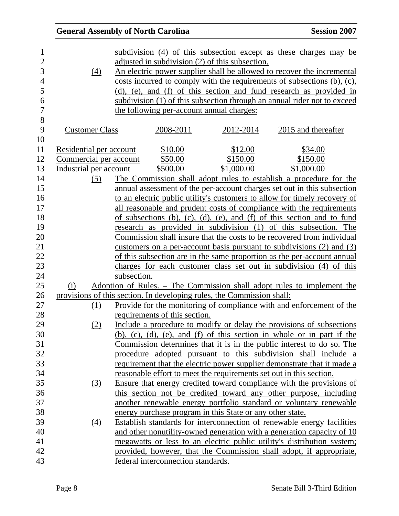|                         | <b>General Assembly of North Carolina</b> |                                           |                                                                        | <b>Session 2007</b>                                                                                                                                                                                                    |
|-------------------------|-------------------------------------------|-------------------------------------------|------------------------------------------------------------------------|------------------------------------------------------------------------------------------------------------------------------------------------------------------------------------------------------------------------|
| (4)                     |                                           |                                           | adjusted in subdivision (2) of this subsection.                        | subdivision (4) of this subsection except as these charges may be<br>An electric power supplier shall be allowed to recover the incremental<br>costs incurred to comply with the requirements of subsections (b), (c), |
|                         |                                           |                                           |                                                                        | (d), (e), and (f) of this section and fund research as provided in                                                                                                                                                     |
|                         |                                           |                                           |                                                                        | subdivision (1) of this subsection through an annual rider not to exceed                                                                                                                                               |
|                         |                                           | the following per-account annual charges: |                                                                        |                                                                                                                                                                                                                        |
| <b>Customer Class</b>   |                                           | 2008-2011                                 | 2012-2014                                                              | 2015 and thereafter                                                                                                                                                                                                    |
| Residential per account |                                           | \$10.00                                   | \$12.00                                                                | \$34.00                                                                                                                                                                                                                |
|                         | Commercial per account                    | \$50.00                                   | \$150.00                                                               | \$150.00                                                                                                                                                                                                               |
| Industrial per account  |                                           | \$500.00                                  | \$1,000.00                                                             | \$1,000.00                                                                                                                                                                                                             |
| (5)                     |                                           |                                           |                                                                        | The Commission shall adopt rules to establish a procedure for the                                                                                                                                                      |
|                         |                                           |                                           |                                                                        | annual assessment of the per-account charges set out in this subsection                                                                                                                                                |
|                         |                                           |                                           |                                                                        | to an electric public utility's customers to allow for timely recovery of                                                                                                                                              |
|                         |                                           |                                           |                                                                        | all reasonable and prudent costs of compliance with the requirements                                                                                                                                                   |
|                         |                                           |                                           |                                                                        | of subsections (b), (c), (d), (e), and (f) of this section and to fund                                                                                                                                                 |
|                         |                                           |                                           |                                                                        | research as provided in subdivision (1) of this subsection. The                                                                                                                                                        |
|                         |                                           |                                           |                                                                        | Commission shall insure that the costs to be recovered from individual                                                                                                                                                 |
|                         |                                           |                                           |                                                                        | customers on a per-account basis pursuant to subdivisions $(2)$ and $(3)$                                                                                                                                              |
|                         |                                           |                                           |                                                                        | of this subsection are in the same proportion as the per-account annual                                                                                                                                                |
|                         |                                           |                                           |                                                                        | charges for each customer class set out in subdivision (4) of this                                                                                                                                                     |
|                         | subsection.                               |                                           |                                                                        |                                                                                                                                                                                                                        |
| (i)                     |                                           |                                           |                                                                        | <u>Adoption of Rules. – The Commission shall adopt rules to implement the</u>                                                                                                                                          |
|                         |                                           |                                           | provisions of this section. In developing rules, the Commission shall: |                                                                                                                                                                                                                        |
| (1)                     |                                           |                                           |                                                                        | Provide for the monitoring of compliance with and enforcement of the                                                                                                                                                   |
|                         |                                           | requirements of this section.             |                                                                        |                                                                                                                                                                                                                        |
| (2)                     |                                           |                                           |                                                                        | Include a procedure to modify or delay the provisions of subsections                                                                                                                                                   |
|                         |                                           |                                           |                                                                        | $(b)$ , $(c)$ , $(d)$ , $(e)$ , and $(f)$ of this section in whole or in part if the                                                                                                                                   |
|                         |                                           |                                           |                                                                        | Commission determines that it is in the public interest to do so. The                                                                                                                                                  |
|                         |                                           |                                           |                                                                        | procedure adopted pursuant to this subdivision shall include a                                                                                                                                                         |
|                         |                                           |                                           |                                                                        | requirement that the electric power supplier demonstrate that it made a                                                                                                                                                |
|                         |                                           |                                           |                                                                        | reasonable effort to meet the requirements set out in this section.                                                                                                                                                    |
| (3)                     |                                           |                                           |                                                                        | Ensure that energy credited toward compliance with the provisions of                                                                                                                                                   |
|                         |                                           |                                           |                                                                        | this section not be credited toward any other purpose, including                                                                                                                                                       |
|                         |                                           |                                           |                                                                        | another renewable energy portfolio standard or voluntary renewable                                                                                                                                                     |
|                         |                                           |                                           | energy purchase program in this State or any other state.              |                                                                                                                                                                                                                        |
| (4)                     |                                           |                                           |                                                                        | Establish standards for interconnection of renewable energy facilities                                                                                                                                                 |
|                         |                                           |                                           |                                                                        | and other nonutility-owned generation with a generation capacity of 10                                                                                                                                                 |
|                         |                                           |                                           |                                                                        | megawatts or less to an electric public utility's distribution system;                                                                                                                                                 |
|                         |                                           |                                           |                                                                        | provided, however, that the Commission shall adopt, if appropriate,                                                                                                                                                    |
|                         |                                           | federal interconnection standards.        |                                                                        |                                                                                                                                                                                                                        |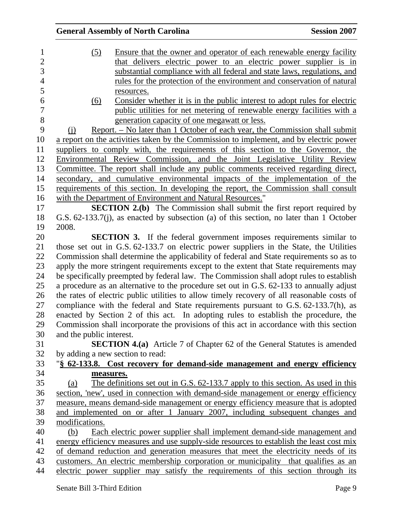|                          | <b>General Assembly of North Carolina</b>                                                  | <b>Session 2007</b> |
|--------------------------|--------------------------------------------------------------------------------------------|---------------------|
| (5)                      | Ensure that the owner and operator of each renewable energy facility                       |                     |
|                          | that delivers electric power to an electric power supplier is in                           |                     |
|                          | substantial compliance with all federal and state laws, regulations, and                   |                     |
|                          | rules for the protection of the environment and conservation of natural                    |                     |
|                          | resources.                                                                                 |                     |
| (6)                      | Consider whether it is in the public interest to adopt rules for electric                  |                     |
|                          | public utilities for net metering of renewable energy facilities with a                    |                     |
|                          | generation capacity of one megawatt or less.                                               |                     |
| (i)                      | <u>Report. – No later than 1 October of each year, the Commission shall submit</u>         |                     |
|                          | a report on the activities taken by the Commission to implement, and by electric power     |                     |
|                          | suppliers to comply with, the requirements of this section to the Governor, the            |                     |
|                          | Environmental Review Commission, and the Joint Legislative Utility Review                  |                     |
|                          | Committee. The report shall include any public comments received regarding direct,         |                     |
|                          | secondary, and cumulative environmental impacts of the implementation of the               |                     |
|                          | requirements of this section. In developing the report, the Commission shall consult       |                     |
|                          | with the Department of Environment and Natural Resources."                                 |                     |
|                          | <b>SECTION 2.(b)</b> The Commission shall submit the first report required by              |                     |
|                          | G.S. 62-133.7(j), as enacted by subsection (a) of this section, no later than 1 October    |                     |
| 2008.                    |                                                                                            |                     |
|                          | <b>SECTION 3.</b> If the federal government imposes requirements similar to                |                     |
|                          | those set out in G.S. 62-133.7 on electric power suppliers in the State, the Utilities     |                     |
|                          | Commission shall determine the applicability of federal and State requirements so as to    |                     |
|                          | apply the more stringent requirements except to the extent that State requirements may     |                     |
|                          | be specifically preempted by federal law. The Commission shall adopt rules to establish    |                     |
|                          | a procedure as an alternative to the procedure set out in G.S. 62-133 to annually adjust   |                     |
|                          | the rates of electric public utilities to allow timely recovery of all reasonable costs of |                     |
|                          | compliance with the federal and State requirements pursuant to G.S. 62-133.7(h), as        |                     |
|                          | enacted by Section 2 of this act. In adopting rules to establish the procedure, the        |                     |
|                          | Commission shall incorporate the provisions of this act in accordance with this section    |                     |
| and the public interest. |                                                                                            |                     |
|                          | <b>SECTION 4.(a)</b> Article 7 of Chapter 62 of the General Statutes is amended            |                     |
|                          | by adding a new section to read:                                                           |                     |
|                          | "\\$ 62-133.8. Cost recovery for demand-side management and energy efficiency              |                     |
|                          | measures.                                                                                  |                     |
| (a)                      | The definitions set out in G.S. 62-133.7 apply to this section. As used in this            |                     |
|                          | section, 'new', used in connection with demand-side management or energy efficiency        |                     |
|                          | measure, means demand-side management or energy efficiency measure that is adopted         |                     |
|                          | and implemented on or after 1 January 2007, including subsequent changes and               |                     |
| modifications.           |                                                                                            |                     |
| (b)                      | Each electric power supplier shall implement demand-side management and                    |                     |
|                          | energy efficiency measures and use supply-side resources to establish the least cost mix   |                     |
|                          | of demand reduction and generation measures that meet the electricity needs of its         |                     |
|                          | customers. An electric membership corporation or municipality that qualifies as an         |                     |
|                          | electric power supplier may satisfy the requirements of this section through its           |                     |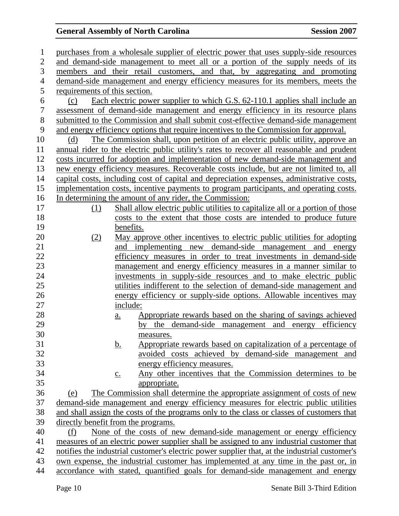| $\mathbf{1}$   | purchases from a wholesale supplier of electric power that uses supply-side resources         |
|----------------|-----------------------------------------------------------------------------------------------|
| $\mathfrak{2}$ | and demand-side management to meet all or a portion of the supply needs of its                |
| 3              | members and their retail customers, and that, by aggregating and promoting                    |
| $\overline{4}$ | demand-side management and energy efficiency measures for its members, meets the              |
| 5              | requirements of this section.                                                                 |
| 6              | Each electric power supplier to which G.S. 62-110.1 applies shall include an<br>(c)           |
| $\overline{7}$ | assessment of demand-side management and energy efficiency in its resource plans              |
| $8\,$          | submitted to the Commission and shall submit cost-effective demand-side management            |
| 9              | and energy efficiency options that require incentives to the Commission for approval.         |
| 10             | The Commission shall, upon petition of an electric public utility, approve an<br>(d)          |
| 11             | annual rider to the electric public utility's rates to recover all reasonable and prudent     |
| 12             | costs incurred for adoption and implementation of new demand-side management and              |
| 13             | new energy efficiency measures. Recoverable costs include, but are not limited to, all        |
| 14             | capital costs, including cost of capital and depreciation expenses, administrative costs,     |
| 15             | implementation costs, incentive payments to program participants, and operating costs.        |
| 16             | In determining the amount of any rider, the Commission:                                       |
| 17             | Shall allow electric public utilities to capitalize all or a portion of those<br>(1)          |
| 18             | costs to the extent that those costs are intended to produce future                           |
| 19             | benefits.                                                                                     |
| 20             | May approve other incentives to electric public utilities for adopting<br>(2)                 |
| 21             | and implementing new demand-side management and energy                                        |
| 22             | efficiency measures in order to treat investments in demand-side                              |
| 23             | management and energy efficiency measures in a manner similar to                              |
| 24             | investments in supply-side resources and to make electric public                              |
| 25             | utilities indifferent to the selection of demand-side management and                          |
| 26             | energy efficiency or supply-side options. Allowable incentives may                            |
| 27             | include:                                                                                      |
| 28             | Appropriate rewards based on the sharing of savings achieved<br>$\underline{\mathbf{a}}$ .    |
| 29             | the demand-side management and energy efficiency<br>by                                        |
| 30             | measures.                                                                                     |
| 31             | Appropriate rewards based on capitalization of a percentage of<br><u>b.</u>                   |
| 32             | avoided costs achieved by demand-side management and                                          |
| 33             | energy efficiency measures.                                                                   |
| 34             | Any other incentives that the Commission determines to be<br>$\underline{c}$ .                |
| 35             | appropriate.                                                                                  |
| 36             | The Commission shall determine the appropriate assignment of costs of new<br>(e)              |
| 37             | demand-side management and energy efficiency measures for electric public utilities           |
| 38             | and shall assign the costs of the programs only to the class or classes of customers that     |
| 39             | directly benefit from the programs.                                                           |
| 40             | None of the costs of new demand-side management or energy efficiency<br>(f)                   |
| 41             | measures of an electric power supplier shall be assigned to any industrial customer that      |
| 42<br>43       | notifies the industrial customer's electric power supplier that, at the industrial customer's |
| 44             | own expense, the industrial customer has implemented at any time in the past or, in           |
|                | accordance with stated, quantified goals for demand-side management and energy                |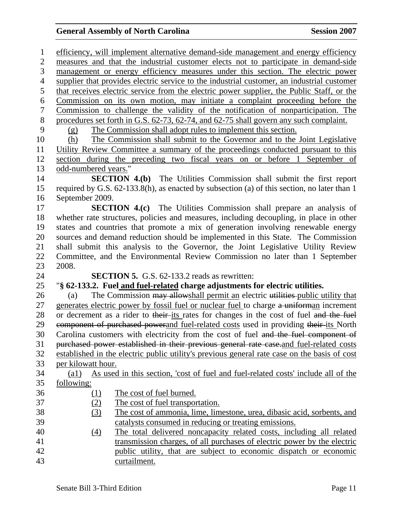1 efficiency, will implement alternative demand-side management and energy efficiency 2 measures and that the industrial customer elects not to participate in demand-side 3 management or energy efficiency measures under this section. The electric power 4 supplier that provides electric service to the industrial customer, an industrial customer 5 that receives electric service from the electric power supplier, the Public Staff, or the 6 Commission on its own motion, may initiate a complaint proceeding before the 7 Commission to challenge the validity of the notification of nonparticipation. The 8 procedures set forth in G.S. 62-73, 62-74, and 62-75 shall govern any such complaint. 9 (g) The Commission shall adopt rules to implement this section. 10 (h) The Commission shall submit to the Governor and to the Joint Legislative 11 Utility Review Committee a summary of the proceedings conducted pursuant to this 12 section during the preceding two fiscal years on or before 1 September of 13 odd-numbered years." 14 **SECTION 4.(b)** The Utilities Commission shall submit the first report 15 required by G.S. 62-133.8(h), as enacted by subsection (a) of this section, no later than 1 16 September 2009. 17 **SECTION 4.(c)** The Utilities Commission shall prepare an analysis of 18 whether rate structures, policies and measures, including decoupling, in place in other 19 states and countries that promote a mix of generation involving renewable energy 20 sources and demand reduction should be implemented in this State. The Commission 21 shall submit this analysis to the Governor, the Joint Legislative Utility Review 22 Committee, and the Environmental Review Commission no later than 1 September 23 2008. 24 **SECTION 5.** G.S. 62-133.2 reads as rewritten: 25 "**§ 62-133.2. Fuel and fuel-related charge adjustments for electric utilities.**  26 (a) The Commission may allowshall permit an electric utilities public utility that 27 generates electric power by fossil fuel or nuclear fuel to charge a uniforman increment 28 or decrement as a rider to their-its rates for changes in the cost of fuel and the fuel 29 expression estimated powerand fuel-related costs used in providing their-its North 30 Carolina customers with electricity from the cost of fuel and the fuel component of 31 purchased power established in their previous general rate case.and fuel-related costs 32 established in the electric public utility's previous general rate case on the basis of cost 33 per kilowatt hour. 34 (a1) As used in this section, 'cost of fuel and fuel-related costs' include all of the 35 following: 36 (1) The cost of fuel burned. 37 (2) The cost of fuel transportation. 38 (3) The cost of ammonia, lime, limestone, urea, dibasic acid, sorbents, and 39 catalysts consumed in reducing or treating emissions. 40 (4) The total delivered noncapacity related costs, including all related 41 transmission charges, of all purchases of electric power by the electric 42 public utility, that are subject to economic dispatch or economic 43 curtailment.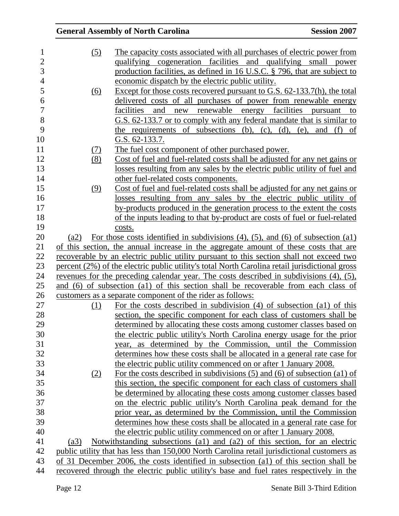| <b>General Assembly of North Carolina</b>                                                                                                      | <b>Session 2007</b> |
|------------------------------------------------------------------------------------------------------------------------------------------------|---------------------|
| (5)<br>The capacity costs associated with all purchases of electric power from                                                                 |                     |
| qualifying cogeneration facilities and qualifying small power                                                                                  |                     |
| production facilities, as defined in 16 U.S.C. § 796, that are subject to                                                                      |                     |
| economic dispatch by the electric public utility.                                                                                              |                     |
| Except for those costs recovered pursuant to G.S. 62-133.7(h), the total<br><u>(6)</u>                                                         |                     |
| delivered costs of all purchases of power from renewable energy                                                                                |                     |
| facilities<br>new renewable energy facilities<br>and                                                                                           | to<br>pursuant      |
| G.S. 62-133.7 or to comply with any federal mandate that is similar to                                                                         |                     |
| the requirements of subsections $(b)$ , $(c)$ , $(d)$ , $(e)$ ,                                                                                | and $(f)$ of        |
| G.S. 62-133.7.                                                                                                                                 |                     |
| <u>The fuel cost component of other purchased power.</u><br>(7)                                                                                |                     |
| (8)<br>Cost of fuel and fuel-related costs shall be adjusted for any net gains or                                                              |                     |
| losses resulting from any sales by the electric public utility of fuel and                                                                     |                     |
| other fuel-related costs components.                                                                                                           |                     |
| Cost of fuel and fuel-related costs shall be adjusted for any net gains or<br>(9)                                                              |                     |
| losses resulting from any sales by the electric public utility of                                                                              |                     |
| by-products produced in the generation process to the extent the costs                                                                         |                     |
| of the inputs leading to that by-product are costs of fuel or fuel-related                                                                     |                     |
| costs.                                                                                                                                         |                     |
| For those costs identified in subdivisions $(4)$ , $(5)$ , and $(6)$ of subsection $(a1)$<br>(a2)                                              |                     |
| of this section, the annual increase in the aggregate amount of these costs that are                                                           |                     |
| recoverable by an electric public utility pursuant to this section shall not exceed two                                                        |                     |
| percent (2%) of the electric public utility's total North Carolina retail jurisdictional gross                                                 |                     |
| revenues for the preceding calendar year. The costs described in subdivisions (4), (5),                                                        |                     |
| and (6) of subsection (a1) of this section shall be recoverable from each class of                                                             |                     |
| customers as a separate component of the rider as follows:                                                                                     |                     |
| For the costs described in subdivision $(4)$ of subsection $(4)$ of this<br>(1)                                                                |                     |
| section, the specific component for each class of customers shall be                                                                           |                     |
| determined by allocating these costs among customer classes based on                                                                           |                     |
| the electric public utility's North Carolina energy usage for the prior                                                                        |                     |
| year, as determined by the Commission, until the Commission                                                                                    |                     |
| determines how these costs shall be allocated in a general rate case for                                                                       |                     |
| the electric public utility commenced on or after 1 January 2008.                                                                              |                     |
| For the costs described in subdivisions $(5)$ and $(6)$ of subsection $(a1)$ of<br>(2)                                                         |                     |
| this section, the specific component for each class of customers shall<br>be determined by allocating these costs among customer classes based |                     |
| on the electric public utility's North Carolina peak demand for the                                                                            |                     |
| prior year, as determined by the Commission, until the Commission                                                                              |                     |
| determines how these costs shall be allocated in a general rate case for                                                                       |                     |
| the electric public utility commenced on or after 1 January 2008.                                                                              |                     |
| Notwithstanding subsections (a1) and (a2) of this section, for an electric<br>(a3)                                                             |                     |
| public utility that has less than 150,000 North Carolina retail jurisdictional customers as                                                    |                     |
|                                                                                                                                                |                     |
| of 31 December 2006, the costs identified in subsection (a1) of this section shall be                                                          |                     |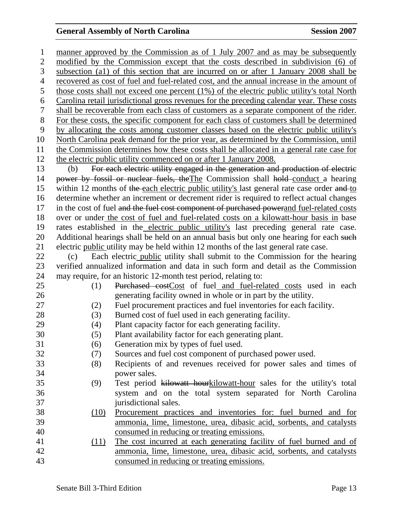1 manner approved by the Commission as of 1 July 2007 and as may be subsequently 2 modified by the Commission except that the costs described in subdivision (6) of 3 subsection (a1) of this section that are incurred on or after 1 January 2008 shall be 4 recovered as cost of fuel and fuel-related cost, and the annual increase in the amount of 5 those costs shall not exceed one percent (1%) of the electric public utility's total North 6 Carolina retail jurisdictional gross revenues for the preceding calendar year. These costs 7 shall be recoverable from each class of customers as a separate component of the rider. 8 For these costs, the specific component for each class of customers shall be determined 9 by allocating the costs among customer classes based on the electric public utility's 10 North Carolina peak demand for the prior year, as determined by the Commission, until 11 the Commission determines how these costs shall be allocated in a general rate case for 12 the electric public utility commenced on or after 1 January 2008. 13 (b) For each electric utility engaged in the generation and production of electric 14 power by fossil or nuclear fuels, theThe Commission shall hold conduct a hearing 15 within 12 months of the each electric public utility's last general rate case order and to 16 determine whether an increment or decrement rider is required to reflect actual changes 17 in the cost of fuel and the fuel cost component of purchased powerand fuel-related costs 18 over or under the cost of fuel and fuel-related costs on a kilowatt-hour basis in base 19 rates established in the electric public utility's last preceding general rate case. 20 Additional hearings shall be held on an annual basis but only one hearing for each such 21 electric public utility may be held within 12 months of the last general rate case. 22 (c) Each electric public utility shall submit to the Commission for the hearing 23 verified annualized information and data in such form and detail as the Commission 24 may require, for an historic 12-month test period, relating to: 25 (1) Purchased costCost of fuel and fuel-related costs used in each 26 generating facility owned in whole or in part by the utility. 27 (2) Fuel procurement practices and fuel inventories for each facility. 28 (3) Burned cost of fuel used in each generating facility. 29 (4) Plant capacity factor for each generating facility. 30 (5) Plant availability factor for each generating plant. 31 (6) Generation mix by types of fuel used. 32 (7) Sources and fuel cost component of purchased power used. 33 (8) Recipients of and revenues received for power sales and times of 34 power sales. 35 (9) Test period kilowatt hourkilowatt-hour sales for the utility's total 36 system and on the total system separated for North Carolina 37 jurisdictional sales. 38 (10) Procurement practices and inventories for: fuel burned and for 39 ammonia, lime, limestone, urea, dibasic acid, sorbents, and catalysts 40 consumed in reducing or treating emissions. 41 (11) The cost incurred at each generating facility of fuel burned and of 42 ammonia, lime, limestone, urea, dibasic acid, sorbents, and catalysts 43 consumed in reducing or treating emissions.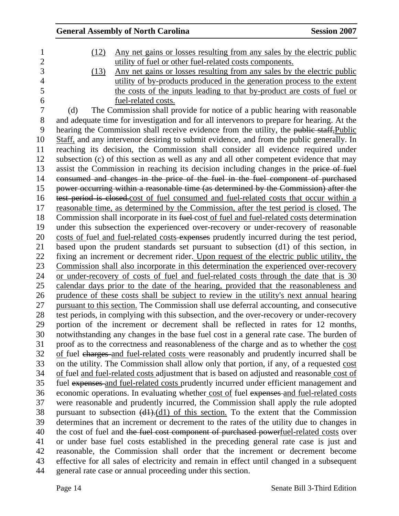### General Assembly of North Carolina Session 2007 1 (12) Any net gains or losses resulting from any sales by the electric public 2 utility of fuel or other fuel-related costs components. 3 (13) Any net gains or losses resulting from any sales by the electric public 4 utility of by-products produced in the generation process to the extent 5 the costs of the inputs leading to that by-product are costs of fuel or 6 fuel-related costs. 7 (d) The Commission shall provide for notice of a public hearing with reasonable 8 and adequate time for investigation and for all intervenors to prepare for hearing. At the 9 hearing the Commission shall receive evidence from the utility, the public staff, Public 10 Staff, and any intervenor desiring to submit evidence, and from the public generally. In 11 reaching its decision, the Commission shall consider all evidence required under 12 subsection (c) of this section as well as any and all other competent evidence that may 13 assist the Commission in reaching its decision including changes in the price of fuel 14 consumed and changes in the price of the fuel in the fuel component of purchased 15 power occurring within a reasonable time (as determined by the Commission) after the 16 test period is closed.cost of fuel consumed and fuel-related costs that occur within a 17 reasonable time, as determined by the Commission, after the test period is closed. The 18 Commission shall incorporate in its fuel-cost of fuel and fuel-related costs determination 19 under this subsection the experienced over-recovery or under-recovery of reasonable 20 costs of fuel and fuel-related costs expenses prudently incurred during the test period, 21 based upon the prudent standards set pursuant to subsection (d1) of this section, in 22 fixing an increment or decrement rider. Upon request of the electric public utility, the 23 Commission shall also incorporate in this determination the experienced over-recovery 24 or under-recovery of costs of fuel and fuel-related costs through the date that is 30 25 calendar days prior to the date of the hearing, provided that the reasonableness and 26 prudence of these costs shall be subject to review in the utility's next annual hearing 27 pursuant to this section. The Commission shall use deferral accounting, and consecutive 28 test periods, in complying with this subsection, and the over-recovery or under-recovery 29 portion of the increment or decrement shall be reflected in rates for 12 months, 30 notwithstanding any changes in the base fuel cost in a general rate case. The burden of 31 proof as to the correctness and reasonableness of the charge and as to whether the cost 32 of fuel charges and fuel-related costs were reasonably and prudently incurred shall be 33 on the utility. The Commission shall allow only that portion, if any, of a requested cost 34 of fuel and fuel-related costs adjustment that is based on adjusted and reasonable cost of 35 fuel expenses and fuel-related costs prudently incurred under efficient management and 36 economic operations. In evaluating whether cost of fuel expenses and fuel-related costs 37 were reasonable and prudently incurred, the Commission shall apply the rule adopted 38 pursuant to subsection (d1).(d1) of this section. To the extent that the Commission 39 determines that an increment or decrement to the rates of the utility due to changes in 40 the cost of fuel and the fuel cost component of purchased powerfuel-related costs over 41 or under base fuel costs established in the preceding general rate case is just and 42 reasonable, the Commission shall order that the increment or decrement become 43 effective for all sales of electricity and remain in effect until changed in a subsequent 44 general rate case or annual proceeding under this section.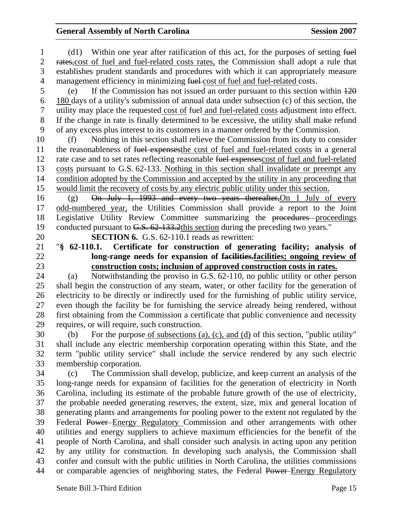1 (d1) Within one year after ratification of this act, for the purposes of setting fuel 2 rates, cost of fuel and fuel-related costs rates, the Commission shall adopt a rule that 3 establishes prudent standards and procedures with which it can appropriately measure 4 management efficiency in minimizing fuel-cost of fuel and fuel-related costs. 5 (e) If the Commission has not issued an order pursuant to this section within 120 6 180 days of a utility's submission of annual data under subsection (c) of this section, the 7 utility may place the requested cost of fuel and fuel-related costs adjustment into effect. 8 If the change in rate is finally determined to be excessive, the utility shall make refund 9 of any excess plus interest to its customers in a manner ordered by the Commission. 10 (f) Nothing in this section shall relieve the Commission from its duty to consider 11 the reasonableness of fuel expenses the cost of fuel and fuel-related costs in a general 12 rate case and to set rates reflecting reasonable fuel expenses cost of fuel and fuel-related 13 costs pursuant to G.S. 62-133. Nothing in this section shall invalidate or preempt any 14 condition adopted by the Commission and accepted by the utility in any proceeding that 15 would limit the recovery of costs by any electric public utility under this section. 16 (g) On July 1, 1993 and every two years thereafter,On 1 July of every 17 odd-numbered year, the Utilities Commission shall provide a report to the Joint 18 Legislative Utility Review Committee summarizing the procedures proceedings 19 conducted pursuant to G.S. 62-133.2this section during the preceding two years." 20 **SECTION 6.** G.S. 62-110.1 reads as rewritten: 21 "**§ 62-110.1. Certificate for construction of generating facility; analysis of**  22 **long-range needs for expansion of facilities.facilities; ongoing review of**  23 **construction costs; inclusion of approved construction costs in rates.** 24 (a) Notwithstanding the proviso in G.S. 62-110, no public utility or other person 25 shall begin the construction of any steam, water, or other facility for the generation of 26 electricity to be directly or indirectly used for the furnishing of public utility service, 27 even though the facility be for furnishing the service already being rendered, without 28 first obtaining from the Commission a certificate that public convenience and necessity 29 requires, or will require, such construction. 30 (b) For the purpose of subsections (a), (c), and (d) of this section, "public utility" 31 shall include any electric membership corporation operating within this State, and the 32 term "public utility service" shall include the service rendered by any such electric 33 membership corporation. 34 (c) The Commission shall develop, publicize, and keep current an analysis of the 35 long-range needs for expansion of facilities for the generation of electricity in North 36 Carolina, including its estimate of the probable future growth of the use of electricity, 37 the probable needed generating reserves, the extent, size, mix and general location of 38 generating plants and arrangements for pooling power to the extent not regulated by the 39 Federal Power Energy Regulatory Commission and other arrangements with other 40 utilities and energy suppliers to achieve maximum efficiencies for the benefit of the 41 people of North Carolina, and shall consider such analysis in acting upon any petition 42 by any utility for construction. In developing such analysis, the Commission shall 43 confer and consult with the public utilities in North Carolina, the utilities commissions 44 or comparable agencies of neighboring states, the Federal Power–Energy Regulatory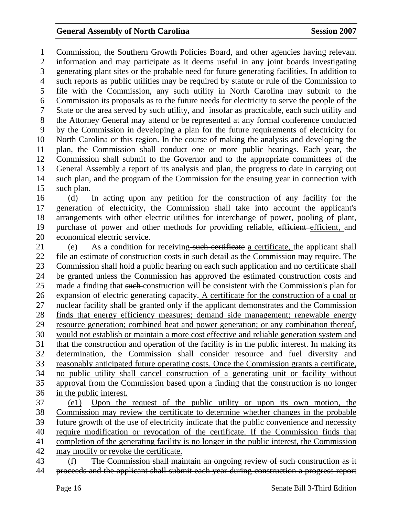1 Commission, the Southern Growth Policies Board, and other agencies having relevant 2 information and may participate as it deems useful in any joint boards investigating 3 generating plant sites or the probable need for future generating facilities. In addition to 4 such reports as public utilities may be required by statute or rule of the Commission to 5 file with the Commission, any such utility in North Carolina may submit to the 6 Commission its proposals as to the future needs for electricity to serve the people of the 7 State or the area served by such utility, and insofar as practicable, each such utility and 8 the Attorney General may attend or be represented at any formal conference conducted 9 by the Commission in developing a plan for the future requirements of electricity for 10 North Carolina or this region. In the course of making the analysis and developing the 11 plan, the Commission shall conduct one or more public hearings. Each year, the 12 Commission shall submit to the Governor and to the appropriate committees of the 13 General Assembly a report of its analysis and plan, the progress to date in carrying out 14 such plan, and the program of the Commission for the ensuing year in connection with 15 such plan.

16 (d) In acting upon any petition for the construction of any facility for the 17 generation of electricity, the Commission shall take into account the applicant's 18 arrangements with other electric utilities for interchange of power, pooling of plant, 19 purchase of power and other methods for providing reliable, efficient efficient, and 20 economical electric service.

21 (e) As a condition for receiving such certificate a certificate, the applicant shall 22 file an estimate of construction costs in such detail as the Commission may require. The 23 Commission shall hold a public hearing on each such application and no certificate shall 24 be granted unless the Commission has approved the estimated construction costs and 25 made a finding that such construction will be consistent with the Commission's plan for 26 expansion of electric generating capacity. A certificate for the construction of a coal or 27 nuclear facility shall be granted only if the applicant demonstrates and the Commission 28 finds that energy efficiency measures; demand side management; renewable energy 29 resource generation; combined heat and power generation; or any combination thereof, 30 would not establish or maintain a more cost effective and reliable generation system and 31 that the construction and operation of the facility is in the public interest. In making its 32 determination, the Commission shall consider resource and fuel diversity and 33 reasonably anticipated future operating costs. Once the Commission grants a certificate, 34 no public utility shall cancel construction of a generating unit or facility without 35 approval from the Commission based upon a finding that the construction is no longer 36 in the public interest. 37 (e1) Upon the request of the public utility or upon its own motion, the 38 Commission may review the certificate to determine whether changes in the probable

39 future growth of the use of electricity indicate that the public convenience and necessity 40 require modification or revocation of the certificate. If the Commission finds that 41 completion of the generating facility is no longer in the public interest, the Commission

42 may modify or revoke the certificate.

43 (f) The Commission shall maintain an ongoing review of such construction as it 44 proceeds and the applicant shall submit each year during construction a progress report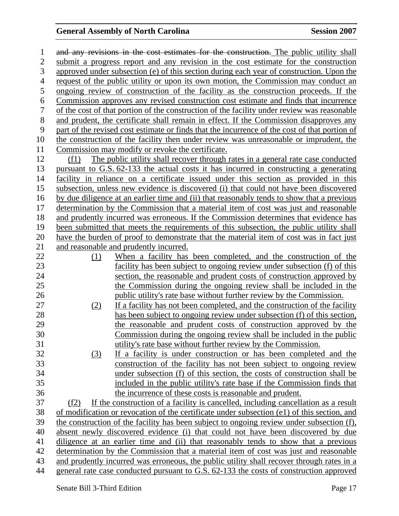1 and any revisions in the cost estimates for the construction. The public utility shall 2 submit a progress report and any revision in the cost estimate for the construction 3 approved under subsection (e) of this section during each year of construction. Upon the 4 request of the public utility or upon its own motion, the Commission may conduct an 5 ongoing review of construction of the facility as the construction proceeds. If the 6 Commission approves any revised construction cost estimate and finds that incurrence 7 of the cost of that portion of the construction of the facility under review was reasonable 8 and prudent, the certificate shall remain in effect. If the Commission disapproves any 9 part of the revised cost estimate or finds that the incurrence of the cost of that portion of 10 the construction of the facility then under review was unreasonable or imprudent, the 11 Commission may modify or revoke the certificate. 12 (f1) The public utility shall recover through rates in a general rate case conducted 13 pursuant to G.S. 62-133 the actual costs it has incurred in constructing a generating 14 facility in reliance on a certificate issued under this section as provided in this 15 subsection, unless new evidence is discovered (i) that could not have been discovered 16 by due diligence at an earlier time and (ii) that reasonably tends to show that a previous 17 determination by the Commission that a material item of cost was just and reasonable 18 and prudently incurred was erroneous. If the Commission determines that evidence has 19 been submitted that meets the requirements of this subsection, the public utility shall 20 have the burden of proof to demonstrate that the material item of cost was in fact just 21 and reasonable and prudently incurred. 22 (1) When a facility has been completed, and the construction of the 23 facility has been subject to ongoing review under subsection (f) of this 24 section, the reasonable and prudent costs of construction approved by 25 the Commission during the ongoing review shall be included in the 26 public utility's rate base without further review by the Commission. 27 (2) If a facility has not been completed, and the construction of the facility 28 has been subject to ongoing review under subsection (f) of this section, 29 the reasonable and prudent costs of construction approved by the 30 Commission during the ongoing review shall be included in the public 31 utility's rate base without further review by the Commission. 32 (3) If a facility is under construction or has been completed and the 33 construction of the facility has not been subject to ongoing review 34 under subsection (f) of this section, the costs of construction shall be 35 included in the public utility's rate base if the Commission finds that 36 the incurrence of these costs is reasonable and prudent. 37 (f2) If the construction of a facility is cancelled, including cancellation as a result 38 of modification or revocation of the certificate under subsection (e1) of this section, and 39 the construction of the facility has been subject to ongoing review under subsection (f), 40 absent newly discovered evidence (i) that could not have been discovered by due 41 diligence at an earlier time and (ii) that reasonably tends to show that a previous 42 determination by the Commission that a material item of cost was just and reasonable 43 and prudently incurred was erroneous, the public utility shall recover through rates in a 44 general rate case conducted pursuant to G.S. 62-133 the costs of construction approved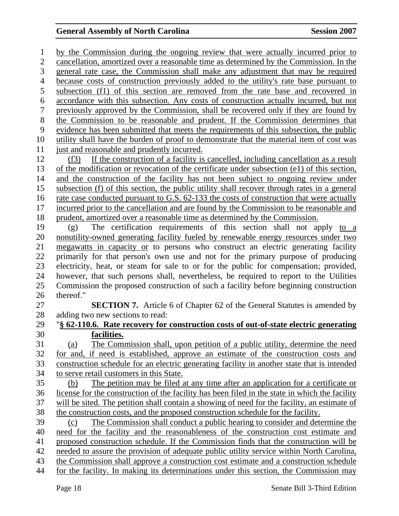1 by the Commission during the ongoing review that were actually incurred prior to 2 cancellation, amortized over a reasonable time as determined by the Commission. In the 3 general rate case, the Commission shall make any adjustment that may be required 4 because costs of construction previously added to the utility's rate base pursuant to 5 subsection (f1) of this section are removed from the rate base and recovered in 6 accordance with this subsection. Any costs of construction actually incurred, but not 7 previously approved by the Commission, shall be recovered only if they are found by 8 the Commission to be reasonable and prudent. If the Commission determines that 9 evidence has been submitted that meets the requirements of this subsection, the public 10 utility shall have the burden of proof to demonstrate that the material item of cost was 11 just and reasonable and prudently incurred. 12 (f3) If the construction of a facility is cancelled, including cancellation as a result 13 of the modification or revocation of the certificate under subsection (e1) of this section, 14 and the construction of the facility has not been subject to ongoing review under 15 subsection (f) of this section, the public utility shall recover through rates in a general 16 rate case conducted pursuant to G.S. 62-133 the costs of construction that were actually 17 incurred prior to the cancellation and are found by the Commission to be reasonable and 18 prudent, amortized over a reasonable time as determined by the Commission. 19 (g) The certification requirements of this section shall not apply to a 20 nonutility-owned generating facility fueled by renewable energy resources under two 21 megawatts in capacity or to persons who construct an electric generating facility 22 primarily for that person's own use and not for the primary purpose of producing 23 electricity, heat, or steam for sale to or for the public for compensation; provided, 24 however, that such persons shall, nevertheless, be required to report to the Utilities 25 Commission the proposed construction of such a facility before beginning construction 26 thereof." 27 **SECTION 7.** Article 6 of Chapter 62 of the General Statutes is amended by 28 adding two new sections to read: 29 "**§ 62-110.6. Rate recovery for construction costs of out-of-state electric generating**  30 **facilities.** 31 (a) The Commission shall, upon petition of a public utility, determine the need 32 for and, if need is established, approve an estimate of the construction costs and 33 construction schedule for an electric generating facility in another state that is intended 34 to serve retail customers in this State. 35 (b) The petition may be filed at any time after an application for a certificate or 36 license for the construction of the facility has been filed in the state in which the facility 37 will be sited. The petition shall contain a showing of need for the facility, an estimate of 38 the construction costs, and the proposed construction schedule for the facility. 39 (c) The Commission shall conduct a public hearing to consider and determine the 40 need for the facility and the reasonableness of the construction cost estimate and 41 proposed construction schedule. If the Commission finds that the construction will be 42 needed to assure the provision of adequate public utility service within North Carolina, 43 the Commission shall approve a construction cost estimate and a construction schedule 44 for the facility. In making its determinations under this section, the Commission may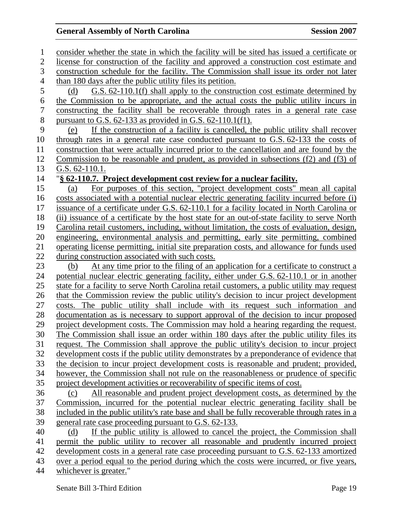1 consider whether the state in which the facility will be sited has issued a certificate or 2 license for construction of the facility and approved a construction cost estimate and 3 construction schedule for the facility. The Commission shall issue its order not later 4 than 180 days after the public utility files its petition. 5 (d) G.S. 62-110.1(f) shall apply to the construction cost estimate determined by 6 the Commission to be appropriate, and the actual costs the public utility incurs in 7 constructing the facility shall be recoverable through rates in a general rate case 8 pursuant to G.S. 62-133 as provided in G.S. 62-110.1(f1). 9 (e) If the construction of a facility is cancelled, the public utility shall recover 10 through rates in a general rate case conducted pursuant to G.S. 62-133 the costs of 11 construction that were actually incurred prior to the cancellation and are found by the 12 Commission to be reasonable and prudent, as provided in subsections (f2) and (f3) of 13 G.S. 62-110.1. 14 "**§ 62-110.7. Project development cost review for a nuclear facility.** 15 (a) For purposes of this section, "project development costs" mean all capital 16 costs associated with a potential nuclear electric generating facility incurred before (i) 17 issuance of a certificate under G.S. 62-110.1 for a facility located in North Carolina or 18 (ii) issuance of a certificate by the host state for an out-of-state facility to serve North 19 Carolina retail customers, including, without limitation, the costs of evaluation, design, 20 engineering, environmental analysis and permitting, early site permitting, combined 21 operating license permitting, initial site preparation costs, and allowance for funds used 22 during construction associated with such costs. 23 (b) At any time prior to the filing of an application for a certificate to construct a 24 potential nuclear electric generating facility, either under G.S. 62-110.1 or in another 25 state for a facility to serve North Carolina retail customers, a public utility may request 26 that the Commission review the public utility's decision to incur project development 27 costs. The public utility shall include with its request such information and 28 documentation as is necessary to support approval of the decision to incur proposed 29 project development costs. The Commission may hold a hearing regarding the request. 30 The Commission shall issue an order within 180 days after the public utility files its 31 request. The Commission shall approve the public utility's decision to incur project 32 development costs if the public utility demonstrates by a preponderance of evidence that 33 the decision to incur project development costs is reasonable and prudent; provided, 34 however, the Commission shall not rule on the reasonableness or prudence of specific 35 project development activities or recoverability of specific items of cost. 36 (c) All reasonable and prudent project development costs, as determined by the 37 Commission, incurred for the potential nuclear electric generating facility shall be 38 included in the public utility's rate base and shall be fully recoverable through rates in a 39 general rate case proceeding pursuant to G.S. 62-133. 40 (d) If the public utility is allowed to cancel the project, the Commission shall 41 permit the public utility to recover all reasonable and prudently incurred project 42 development costs in a general rate case proceeding pursuant to G.S. 62-133 amortized 43 over a period equal to the period during which the costs were incurred, or five years, 44 whichever is greater."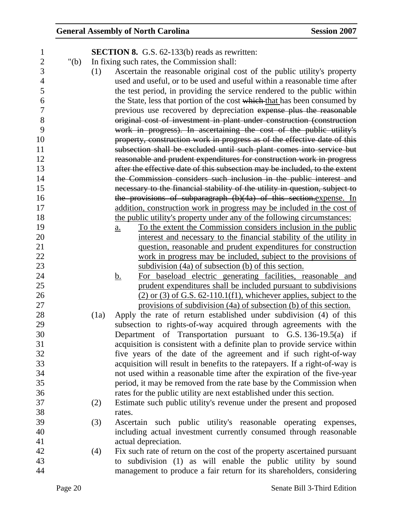| $\mathbf 1$    |         |      | <b>SECTION 8.</b> G.S. 62-133(b) reads as rewritten:                                |
|----------------|---------|------|-------------------------------------------------------------------------------------|
| $\overline{c}$ | " $(b)$ |      | In fixing such rates, the Commission shall:                                         |
| 3              |         | (1)  | Ascertain the reasonable original cost of the public utility's property             |
| $\overline{4}$ |         |      | used and useful, or to be used and useful within a reasonable time after            |
| 5              |         |      | the test period, in providing the service rendered to the public within             |
| 6              |         |      | the State, less that portion of the cost which that has been consumed by            |
| $\overline{7}$ |         |      | previous use recovered by depreciation expense plus the reasonable                  |
| 8              |         |      | original cost of investment in plant under construction (construction               |
| 9              |         |      | work in progress). In ascertaining the cost of the public utility's                 |
| 10             |         |      | property, construction work in progress as of the effective date of this            |
| 11             |         |      | subsection shall be excluded until such plant comes into service but                |
| 12             |         |      | reasonable and prudent expenditures for construction work in progress               |
| 13             |         |      | after the effective date of this subsection may be included, to the extent          |
| 14             |         |      | the Commission considers such inclusion in the public interest and                  |
| 15             |         |      | necessary to the financial stability of the utility in question, subject to         |
| 16             |         |      | the provisions of subparagraph (b)(4a) of this section.expense. In                  |
| 17             |         |      | addition, construction work in progress may be included in the cost of              |
| 18             |         |      | the public utility's property under any of the following circumstances:             |
| 19             |         |      | To the extent the Commission considers inclusion in the public<br>$\underline{a}$ . |
| 20             |         |      | interest and necessary to the financial stability of the utility in                 |
| 21             |         |      | question, reasonable and prudent expenditures for construction                      |
| 22             |         |      | work in progress may be included, subject to the provisions of                      |
| 23             |         |      | subdivision (4a) of subsection (b) of this section.                                 |
| 24             |         |      | For baseload electric generating facilities, reasonable and<br><u>b.</u>            |
| 25             |         |      | prudent expenditures shall be included pursuant to subdivisions                     |
| 26             |         |      | $(2)$ or $(3)$ of G.S. 62-110.1(f1), whichever applies, subject to the              |
| 27             |         |      | provisions of subdivision (4a) of subsection (b) of this section.                   |
| 28             |         | (1a) | Apply the rate of return established under subdivision (4) of this                  |
| 29             |         |      | subsection to rights-of-way acquired through agreements with the                    |
| 30             |         |      | Department of Transportation pursuant to G.S. 136-19.5(a) if                        |
| 31             |         |      | acquisition is consistent with a definite plan to provide service within            |
| 32             |         |      | five years of the date of the agreement and if such right-of-way                    |
| 33             |         |      | acquisition will result in benefits to the ratepayers. If a right-of-way is         |
| 34             |         |      | not used within a reasonable time after the expiration of the five-year             |
| 35             |         |      | period, it may be removed from the rate base by the Commission when                 |
| 36             |         |      | rates for the public utility are next established under this section.               |
| 37             |         | (2)  | Estimate such public utility's revenue under the present and proposed               |
| 38             |         |      | rates.                                                                              |
| 39             |         | (3)  | Ascertain such public utility's reasonable operating expenses,                      |
| 40             |         |      | including actual investment currently consumed through reasonable                   |
| 41             |         |      | actual depreciation.                                                                |
| 42             |         | (4)  | Fix such rate of return on the cost of the property ascertained pursuant            |
| 43             |         |      | to subdivision (1) as will enable the public utility by sound                       |
| 44             |         |      | management to produce a fair return for its shareholders, considering               |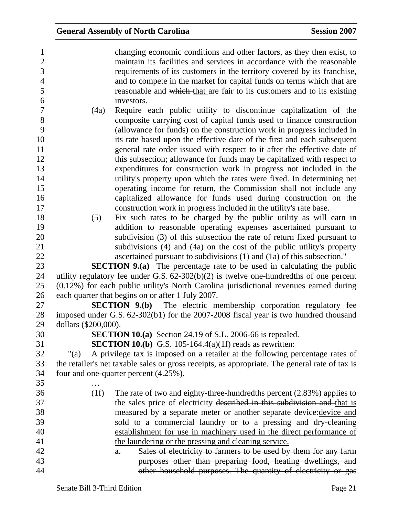| $\mathbf{1}$     | changing economic conditions and other factors, as they then exist, to                         |
|------------------|------------------------------------------------------------------------------------------------|
| $\overline{c}$   | maintain its facilities and services in accordance with the reasonable                         |
| $\overline{3}$   | requirements of its customers in the territory covered by its franchise,                       |
| $\overline{4}$   | and to compete in the market for capital funds on terms which that are                         |
| 5                | reasonable and which that are fair to its customers and to its existing                        |
| 6                | investors.                                                                                     |
| $\boldsymbol{7}$ | Require each public utility to discontinue capitalization of the<br>(4a)                       |
| 8                | composite carrying cost of capital funds used to finance construction                          |
| 9                | (allowance for funds) on the construction work in progress included in                         |
| 10               | its rate based upon the effective date of the first and each subsequent                        |
| 11               | general rate order issued with respect to it after the effective date of                       |
| 12               | this subsection; allowance for funds may be capitalized with respect to                        |
| 13               | expenditures for construction work in progress not included in the                             |
| 14               | utility's property upon which the rates were fixed. In determining net                         |
| 15               | operating income for return, the Commission shall not include any                              |
| 16               | capitalized allowance for funds used during construction on the                                |
| 17               | construction work in progress included in the utility's rate base.                             |
| 18               | Fix such rates to be charged by the public utility as will earn in<br>(5)                      |
| 19               | addition to reasonable operating expenses ascertained pursuant to                              |
| 20               | subdivision (3) of this subsection the rate of return fixed pursuant to                        |
| 21               | subdivisions (4) and (4a) on the cost of the public utility's property                         |
| 22               | ascertained pursuant to subdivisions (1) and (1a) of this subsection."                         |
| 23               | <b>SECTION 9.(a)</b> The percentage rate to be used in calculating the public                  |
| 24               | utility regulatory fee under G.S. $62-302(b)(2)$ is twelve one-hundredths of one percent       |
| 25               | (0.12%) for each public utility's North Carolina jurisdictional revenues earned during         |
| 26               | each quarter that begins on or after 1 July 2007.                                              |
| 27               | SECTION 9.(b) The electric membership corporation regulatory fee                               |
| 28               | imposed under G.S. 62-302(b1) for the 2007-2008 fiscal year is two hundred thousand            |
| 29               | dollars (\$200,000).                                                                           |
| 30               | SECTION 10.(a) Section 24.19 of S.L. 2006-66 is repealed.                                      |
| 31               | <b>SECTION 10.(b)</b> G.S. 105-164.4(a)(1f) reads as rewritten:                                |
| 32               | A privilege tax is imposed on a retailer at the following percentage rates of<br>$"$ (a)       |
| 33               | the retailer's net taxable sales or gross receipts, as appropriate. The general rate of tax is |
| 34               | four and one-quarter percent (4.25%).                                                          |
| 35               |                                                                                                |
| 36               | (1f)<br>The rate of two and eighty-three-hundredths percent $(2.83%)$ applies to               |
| 37               | the sales price of electricity described in this subdivision and that is                       |
| 38               | measured by a separate meter or another separate device: device and                            |
| 39               | sold to a commercial laundry or to a pressing and dry-cleaning                                 |
| 40               | establishment for use in machinery used in the direct performance of                           |
| 41               | the laundering or the pressing and cleaning service.                                           |
| 42               | Sales of electricity to farmers to be used by them for any farm<br>$a_{\overline{\cdot}}$      |
| 43               | purposes other than preparing food, heating dwellings, and                                     |
| 44               | other household purposes. The quantity of electricity or gas                                   |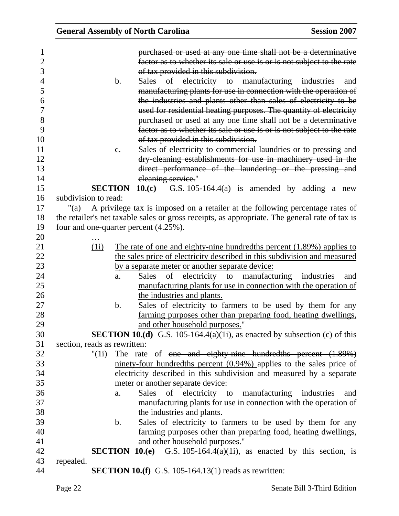| <b>General Assembly of North Carolina</b> |                                                                                                                                                                                                                                                                                                                                                      | <b>Session 2007</b> |
|-------------------------------------------|------------------------------------------------------------------------------------------------------------------------------------------------------------------------------------------------------------------------------------------------------------------------------------------------------------------------------------------------------|---------------------|
| b.                                        | purchased or used at any one time shall not be a determinative<br>factor as to whether its sale or use is or is not subject to the rate<br>of tax provided in this subdivision.<br>Sales of electricity to manufacturing industries and                                                                                                              |                     |
|                                           | manufacturing plants for use in connection with the operation of<br>the industries and plants other than sales of electricity to be<br>used for residential heating purposes. The quantity of electricity<br>purchased or used at any one time shall not be a determinative<br>factor as to whether its sale or use is or is not subject to the rate |                     |
|                                           | of tax provided in this subdivision.                                                                                                                                                                                                                                                                                                                 |                     |
| $e_{i}$                                   | Sales of electricity to commercial laundries or to pressing and                                                                                                                                                                                                                                                                                      |                     |
|                                           | dry-eleaning establishments for use in machinery used in the<br>direct performance of the laundering or the pressing and                                                                                                                                                                                                                             |                     |
| <b>SECTION</b>                            | eleaning service."                                                                                                                                                                                                                                                                                                                                   |                     |
| subdivision to read:                      | 10. $(c)$ G.S. 105-164.4(a) is amended by adding a new                                                                                                                                                                                                                                                                                               |                     |
| "(a)                                      | A privilege tax is imposed on a retailer at the following percentage rates of                                                                                                                                                                                                                                                                        |                     |
|                                           | the retailer's net taxable sales or gross receipts, as appropriate. The general rate of tax is                                                                                                                                                                                                                                                       |                     |
| four and one-quarter percent (4.25%).     |                                                                                                                                                                                                                                                                                                                                                      |                     |
|                                           |                                                                                                                                                                                                                                                                                                                                                      |                     |
| (1i)                                      | The rate of one and eighty-nine hundredths percent (1.89%) applies to                                                                                                                                                                                                                                                                                |                     |
|                                           | the sales price of electricity described in this subdivision and measured                                                                                                                                                                                                                                                                            |                     |
|                                           | by a separate meter or another separate device:                                                                                                                                                                                                                                                                                                      |                     |
| $\underline{a}$ .                         | electricity to manufacturing industries<br>Sales<br>of                                                                                                                                                                                                                                                                                               | and                 |
|                                           | manufacturing plants for use in connection with the operation of                                                                                                                                                                                                                                                                                     |                     |
|                                           | the industries and plants.                                                                                                                                                                                                                                                                                                                           |                     |
| <u>b.</u>                                 | Sales of electricity to farmers to be used by them for any                                                                                                                                                                                                                                                                                           |                     |
|                                           | farming purposes other than preparing food, heating dwellings,                                                                                                                                                                                                                                                                                       |                     |
|                                           | and other household purposes."                                                                                                                                                                                                                                                                                                                       |                     |
|                                           | <b>SECTION 10.(d)</b> G.S. 105-164.4(a)(1i), as enacted by subsection (c) of this                                                                                                                                                                                                                                                                    |                     |
| section, reads as rewritten:              |                                                                                                                                                                                                                                                                                                                                                      |                     |
| " $(1i)$                                  | The rate of <del>one and eighty-nine hundredths percent <math>(1.89%)</math></del>                                                                                                                                                                                                                                                                   |                     |
|                                           | $\frac{1}{2}$ ninety-four hundredths percent (0.94%) applies to the sales price of                                                                                                                                                                                                                                                                   |                     |
|                                           | electricity described in this subdivision and measured by a separate                                                                                                                                                                                                                                                                                 |                     |
|                                           | meter or another separate device:                                                                                                                                                                                                                                                                                                                    |                     |
| a.                                        | Sales of electricity to manufacturing industries                                                                                                                                                                                                                                                                                                     | and                 |
|                                           | manufacturing plants for use in connection with the operation of                                                                                                                                                                                                                                                                                     |                     |
|                                           | the industries and plants.                                                                                                                                                                                                                                                                                                                           |                     |
| $\mathbf b$ .                             | Sales of electricity to farmers to be used by them for any                                                                                                                                                                                                                                                                                           |                     |
|                                           | farming purposes other than preparing food, heating dwellings,                                                                                                                                                                                                                                                                                       |                     |
|                                           | and other household purposes."                                                                                                                                                                                                                                                                                                                       |                     |
| repealed.                                 | <b>SECTION 10.(e)</b> G.S. 105-164.4(a)(1i), as enacted by this section, is                                                                                                                                                                                                                                                                          |                     |
|                                           | <b>SECTION 10.(f)</b> G.S. 105-164.13(1) reads as rewritten:                                                                                                                                                                                                                                                                                         |                     |
|                                           |                                                                                                                                                                                                                                                                                                                                                      |                     |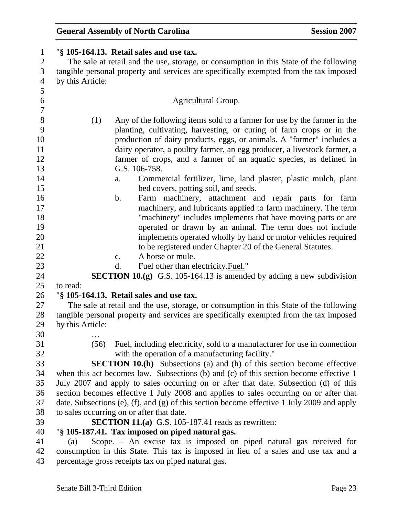| $\mathbf{1}$             | "§ 105-164.13. Retail sales and use tax.                                                   |
|--------------------------|--------------------------------------------------------------------------------------------|
| $\overline{c}$           | The sale at retail and the use, storage, or consumption in this State of the following     |
| 3                        | tangible personal property and services are specifically exempted from the tax imposed     |
| $\overline{\mathcal{A}}$ | by this Article:                                                                           |
| 5                        |                                                                                            |
| 6                        | Agricultural Group.                                                                        |
| $\overline{7}$           |                                                                                            |
| $8\,$                    | (1)<br>Any of the following items sold to a farmer for use by the farmer in the            |
| 9                        | planting, cultivating, harvesting, or curing of farm crops or in the                       |
| 10                       | production of dairy products, eggs, or animals. A "farmer" includes a                      |
| 11                       | dairy operator, a poultry farmer, an egg producer, a livestock farmer, a                   |
| 12                       | farmer of crops, and a farmer of an aquatic species, as defined in                         |
| 13                       | G.S. 106-758.                                                                              |
| 14                       | Commercial fertilizer, lime, land plaster, plastic mulch, plant<br>a.                      |
| 15                       | bed covers, potting soil, and seeds.                                                       |
| 16                       | Farm machinery, attachment and repair parts for farm<br>$\mathbf b$ .                      |
| 17                       | machinery, and lubricants applied to farm machinery. The term                              |
| 18                       | "machinery" includes implements that have moving parts or are                              |
| 19                       | operated or drawn by an animal. The term does not include                                  |
| 20                       | implements operated wholly by hand or motor vehicles required                              |
| 21                       | to be registered under Chapter 20 of the General Statutes.                                 |
| 22                       | A horse or mule.<br>$\mathbf{c}$ .                                                         |
| 23                       | Fuel other than electricity. Fuel."<br>d.                                                  |
| 24                       | <b>SECTION 10.(g)</b> G.S. 105-164.13 is amended by adding a new subdivision               |
| 25                       | to read:                                                                                   |
| 26                       | "§ 105-164.13. Retail sales and use tax.                                                   |
| 27                       | The sale at retail and the use, storage, or consumption in this State of the following     |
| 28                       | tangible personal property and services are specifically exempted from the tax imposed     |
| 29                       | by this Article:                                                                           |
| 30                       |                                                                                            |
| 31                       | Fuel, including electricity, sold to a manufacturer for use in connection<br>(56)          |
| 32                       | with the operation of a manufacturing facility."                                           |
| 33                       | <b>SECTION 10.(h)</b> Subsections (a) and (h) of this section become effective             |
| 34                       | when this act becomes law. Subsections (b) and (c) of this section become effective 1      |
| 35                       | July 2007 and apply to sales occurring on or after that date. Subsection (d) of this       |
| 36                       | section becomes effective 1 July 2008 and applies to sales occurring on or after that      |
| 37                       | date. Subsections (e), (f), and (g) of this section become effective 1 July 2009 and apply |
| 38                       | to sales occurring on or after that date.                                                  |
| 39                       | <b>SECTION 11.(a)</b> G.S. 105-187.41 reads as rewritten:                                  |
| 40                       | "§ 105-187.41. Tax imposed on piped natural gas.                                           |
| 41                       | Scope. – An excise tax is imposed on piped natural gas received for<br>(a)                 |
| 42                       | consumption in this State. This tax is imposed in lieu of a sales and use tax and a        |
| 43                       | percentage gross receipts tax on piped natural gas.                                        |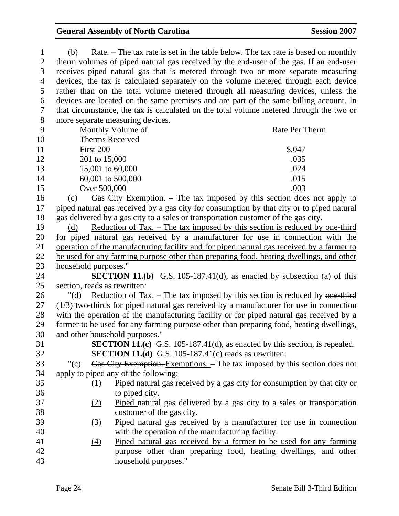| $\mathbf{1}$   | (b)                                                                                | Rate. – The tax rate is set in the table below. The tax rate is based on monthly                |
|----------------|------------------------------------------------------------------------------------|-------------------------------------------------------------------------------------------------|
| $\overline{2}$ |                                                                                    | therm volumes of piped natural gas received by the end-user of the gas. If an end-user          |
| 3              |                                                                                    | receives piped natural gas that is metered through two or more separate measuring               |
| 4              |                                                                                    | devices, the tax is calculated separately on the volume metered through each device             |
| 5              |                                                                                    | rather than on the total volume metered through all measuring devices, unless the               |
| 6              |                                                                                    | devices are located on the same premises and are part of the same billing account. In           |
| 7              |                                                                                    | that circumstance, the tax is calculated on the total volume metered through the two or         |
| $8\,$          | more separate measuring devices.                                                   |                                                                                                 |
| 9              | Monthly Volume of                                                                  | Rate Per Therm                                                                                  |
| 10             | Therms Received                                                                    |                                                                                                 |
| 11             | First 200                                                                          | \$.047                                                                                          |
| 12             | 201 to 15,000                                                                      | .035                                                                                            |
| 13             | 15,001 to 60,000                                                                   | .024                                                                                            |
| 14             | 60,001 to 500,000                                                                  | .015                                                                                            |
| 15             | Over 500,000                                                                       | .003                                                                                            |
| 16             | (c)                                                                                | Gas City Exemption. – The tax imposed by this section does not apply to                         |
| 17             |                                                                                    | piped natural gas received by a gas city for consumption by that city or to piped natural       |
| 18             | gas delivered by a gas city to a sales or transportation customer of the gas city. |                                                                                                 |
| 19             | (d)                                                                                | <u>Reduction of Tax. – The tax imposed by this section is reduced by one-third</u>              |
| 20             |                                                                                    | for piped natural gas received by a manufacturer for use in connection with the                 |
| 21             |                                                                                    | operation of the manufacturing facility and for piped natural gas received by a farmer to       |
| 22             |                                                                                    | be used for any farming purpose other than preparing food, heating dwellings, and other         |
| 23             | household purposes."                                                               |                                                                                                 |
| 24             |                                                                                    | <b>SECTION 11.(b)</b> G.S. 105-187.41(d), as enacted by subsection (a) of this                  |
| 25             | section, reads as rewritten:                                                       |                                                                                                 |
| 26             | $"(\mathrm{d})"$                                                                   | Reduction of Tax. $-$ The tax imposed by this section is reduced by one-third                   |
| 27             |                                                                                    | $\frac{1}{3}$ two-thirds for piped natural gas received by a manufacturer for use in connection |
| 28             |                                                                                    | with the operation of the manufacturing facility or for piped natural gas received by a         |
| 29             |                                                                                    | farmer to be used for any farming purpose other than preparing food, heating dwellings,         |
| 30             | and other household purposes."                                                     |                                                                                                 |
| 31             |                                                                                    | <b>SECTION 11.(c)</b> G.S. 105-187.41(d), as enacted by this section, is repealed.              |
| 32             | <b>SECTION 11.(d)</b> G.S. 105-187.41(c) reads as rewritten:                       |                                                                                                 |
| 33             | " $(c)$                                                                            | Gas City Exemption. Exemptions. - The tax imposed by this section does not                      |
| 34             | apply to piped any of the following:                                               |                                                                                                 |
| 35             | (1)                                                                                | Piped natural gas received by a gas city for consumption by that eity or                        |
| 36             | to piped city.                                                                     |                                                                                                 |
| 37             | <u>(2)</u>                                                                         | Piped natural gas delivered by a gas city to a sales or transportation                          |
| 38             | customer of the gas city.                                                          |                                                                                                 |
| 39             | <u>(3)</u>                                                                         | Piped natural gas received by a manufacturer for use in connection                              |
| 40             |                                                                                    | with the operation of the manufacturing facility.                                               |
| 41             | $\left(4\right)$                                                                   | Piped natural gas received by a farmer to be used for any farming                               |
| 42             |                                                                                    | purpose other than preparing food, heating dwellings, and other                                 |
| 43             | household purposes."                                                               |                                                                                                 |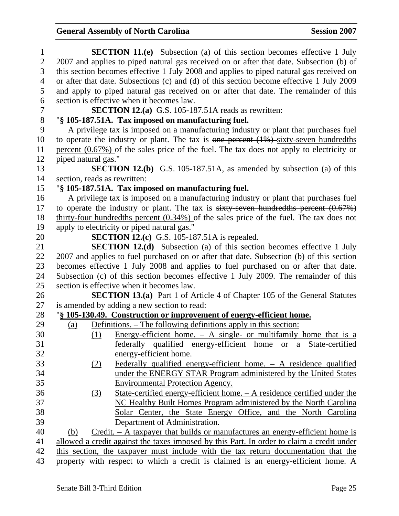| $\mathbf{1}$   | <b>SECTION 11.(e)</b> Subsection (a) of this section becomes effective 1 July               |  |  |
|----------------|---------------------------------------------------------------------------------------------|--|--|
| $\overline{2}$ | 2007 and applies to piped natural gas received on or after that date. Subsection (b) of     |  |  |
| 3              | this section becomes effective 1 July 2008 and applies to piped natural gas received on     |  |  |
| $\overline{4}$ | or after that date. Subsections (c) and (d) of this section become effective 1 July 2009    |  |  |
| 5              | and apply to piped natural gas received on or after that date. The remainder of this        |  |  |
| 6              | section is effective when it becomes law.                                                   |  |  |
| 7              | <b>SECTION 12.(a)</b> G.S. 105-187.51A reads as rewritten:                                  |  |  |
| $8\,$          | "§ 105-187.51A. Tax imposed on manufacturing fuel.                                          |  |  |
| 9              | A privilege tax is imposed on a manufacturing industry or plant that purchases fuel         |  |  |
| 10             | to operate the industry or plant. The tax is one percent $(1\%)$ -sixty-seven hundredths    |  |  |
| 11             | percent $(0.67\%)$ of the sales price of the fuel. The tax does not apply to electricity or |  |  |
| 12             | piped natural gas."                                                                         |  |  |
| 13             | <b>SECTION 12.(b)</b> G.S. 105-187.51A, as amended by subsection (a) of this                |  |  |
| 14             | section, reads as rewritten:                                                                |  |  |
| 15             | "§ 105-187.51A. Tax imposed on manufacturing fuel.                                          |  |  |
| 16             | A privilege tax is imposed on a manufacturing industry or plant that purchases fuel         |  |  |
| 17             | to operate the industry or plant. The tax is $sixty$ -seven hundredths percent $(0.67%)$    |  |  |
| 18             | thirty-four hundredths percent $(0.34\%)$ of the sales price of the fuel. The tax does not  |  |  |
| 19             | apply to electricity or piped natural gas."                                                 |  |  |
| 20             | <b>SECTION 12.(c)</b> G.S. 105-187.51A is repealed.                                         |  |  |
| 21             | <b>SECTION 12.(d)</b> Subsection (a) of this section becomes effective 1 July               |  |  |
| 22             | 2007 and applies to fuel purchased on or after that date. Subsection (b) of this section    |  |  |
| 23             | becomes effective 1 July 2008 and applies to fuel purchased on or after that date.          |  |  |
| 24             | Subsection (c) of this section becomes effective 1 July 2009. The remainder of this         |  |  |
| 25             | section is effective when it becomes law.                                                   |  |  |
| 26             | <b>SECTION 13.(a)</b> Part 1 of Article 4 of Chapter 105 of the General Statutes            |  |  |
| 27             | is amended by adding a new section to read:                                                 |  |  |
| 28             | "§ 105-130.49. Construction or improvement of energy-efficient home.                        |  |  |
| 29             | Definitions. – The following definitions apply in this section:<br>(a)                      |  |  |
| 30             | Energy-efficient home. $- A$ single- or multifamily home that is a<br>(1)                   |  |  |
| 31             | federally qualified energy-efficient home or a State-certified                              |  |  |
| 32             | energy-efficient home.                                                                      |  |  |
| 33             | Federally qualified energy-efficient home. $-$ A residence qualified<br>(2)                 |  |  |
| 34             | under the ENERGY STAR Program administered by the United States                             |  |  |
| 35             | <b>Environmental Protection Agency.</b>                                                     |  |  |
| 36             | State-certified energy-efficient home. - A residence certified under the<br>(3)             |  |  |
| 37             | NC Healthy Built Homes Program administered by the North Carolina                           |  |  |
| 38             | Solar Center, the State Energy Office, and the North Carolina                               |  |  |
| 39             | Department of Administration.                                                               |  |  |
| 40             | $C$ redit. $- A$ taxpayer that builds or manufactures an energy-efficient home is<br>(b)    |  |  |
| 41             | allowed a credit against the taxes imposed by this Part. In order to claim a credit under   |  |  |
| 42             | this section, the taxpayer must include with the tax return documentation that the          |  |  |
| 43             | property with respect to which a credit is claimed is an energy-efficient home. A           |  |  |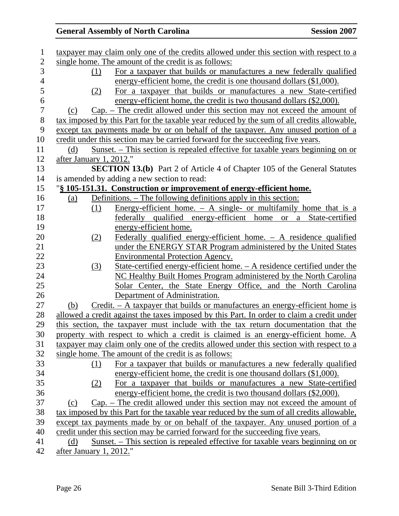| $\mathbf{1}$   |                         | taxpayer may claim only one of the credits allowed under this section with respect to a    |
|----------------|-------------------------|--------------------------------------------------------------------------------------------|
| $\mathbf{2}$   |                         | single home. The amount of the credit is as follows:                                       |
| 3              | (1)                     | For a taxpayer that builds or manufactures a new federally qualified                       |
| $\overline{4}$ |                         | energy-efficient home, the credit is one thousand dollars (\$1,000).                       |
| 5              | (2)                     | For a taxpayer that builds or manufactures a new State-certified                           |
| 6              |                         | energy-efficient home, the credit is two thousand dollars (\$2,000).                       |
| $\overline{7}$ | (c)                     | $Cap.$ - The credit allowed under this section may not exceed the amount of                |
| 8              |                         | tax imposed by this Part for the taxable year reduced by the sum of all credits allowable, |
| 9              |                         | except tax payments made by or on behalf of the taxpayer. Any unused portion of a          |
| 10             |                         | credit under this section may be carried forward for the succeeding five years.            |
| 11             | (d)                     | <u>Sunset. – This section is repealed effective for taxable years beginning on or</u>      |
| 12             | after January 1, 2012." |                                                                                            |
| 13             |                         | <b>SECTION 13.(b)</b> Part 2 of Article 4 of Chapter 105 of the General Statutes           |
| 14             |                         | is amended by adding a new section to read:                                                |
| 15             |                         | "§ 105-151.31. Construction or improvement of energy-efficient home.                       |
| 16             | (a)                     | Definitions. – The following definitions apply in this section:                            |
| 17             | (1)                     | <u>Energy-efficient home. <math>- A</math> single- or multifamily home that is a</u>       |
| 18             |                         | federally qualified energy-efficient home or a State-certified                             |
| 19             |                         | energy-efficient home.                                                                     |
| 20             | (2)                     | Federally qualified energy-efficient home. $-$ A residence qualified                       |
| 21             |                         | under the ENERGY STAR Program administered by the United States                            |
| 22             |                         | <b>Environmental Protection Agency.</b>                                                    |
| 23             | (3)                     | State-certified energy-efficient home. - A residence certified under the                   |
| 24             |                         | NC Healthy Built Homes Program administered by the North Carolina                          |
| 25             |                         | Solar Center, the State Energy Office, and the North Carolina                              |
| 26             |                         | Department of Administration.                                                              |
| 27             | (b)                     | $Credit. - A taxpayer that builds or manufacturers an energy-efficient home is$            |
| 28             |                         | allowed a credit against the taxes imposed by this Part. In order to claim a credit under  |
| 29             |                         | this section, the taxpayer must include with the tax return documentation that the         |
| 30             |                         | property with respect to which a credit is claimed is an energy-efficient home. A          |
| 31             |                         | taxpayer may claim only one of the credits allowed under this section with respect to a    |
| 32             |                         | single home. The amount of the credit is as follows:                                       |
| 33             | (1)                     | For a taxpayer that builds or manufactures a new federally qualified                       |
| 34             |                         | energy-efficient home, the credit is one thousand dollars (\$1,000).                       |
| 35             | (2)                     | For a taxpayer that builds or manufactures a new State-certified                           |
| 36             |                         | energy-efficient home, the credit is two thousand dollars (\$2,000).                       |
| 37             | (c)                     | $Cap.$ – The credit allowed under this section may not exceed the amount of                |
| 38             |                         | tax imposed by this Part for the taxable year reduced by the sum of all credits allowable, |
| 39             |                         | except tax payments made by or on behalf of the taxpayer. Any unused portion of a          |
| 40             |                         | credit under this section may be carried forward for the succeeding five years.            |
| 41             | (d)                     | <u>Sunset. – This section is repealed effective for taxable years beginning on or</u>      |
| 42             | after January 1, 2012." |                                                                                            |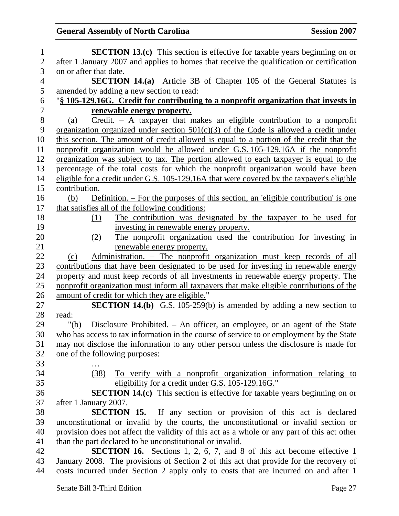| $\mathbf{1}$   | <b>SECTION 13.(c)</b> This section is effective for taxable years beginning on or                                                                        |
|----------------|----------------------------------------------------------------------------------------------------------------------------------------------------------|
| $\mathfrak{2}$ | after 1 January 2007 and applies to homes that receive the qualification or certification                                                                |
| 3              | on or after that date.                                                                                                                                   |
| 4              | <b>SECTION 14.(a)</b> Article 3B of Chapter 105 of the General Statutes is                                                                               |
| 5              | amended by adding a new section to read:                                                                                                                 |
| 6              | "§ 105-129.16G. Credit for contributing to a nonprofit organization that invests in                                                                      |
| $\overline{7}$ | renewable energy property.                                                                                                                               |
| 8              | Credit. $-$ A taxpayer that makes an eligible contribution to a nonprofit<br>(a)                                                                         |
| 9              | organization organized under section $501(c)(3)$ of the Code is allowed a credit under                                                                   |
| 10             | this section. The amount of credit allowed is equal to a portion of the credit that the                                                                  |
| 11             | nonprofit organization would be allowed under G.S. 105-129.16A if the nonprofit                                                                          |
| 12             | organization was subject to tax. The portion allowed to each taxpayer is equal to the                                                                    |
| 13             | percentage of the total costs for which the nonprofit organization would have been                                                                       |
| 14             | eligible for a credit under G.S. 105-129.16A that were covered by the taxpayer's eligible                                                                |
| 15             | contribution.                                                                                                                                            |
| 16             | Definition. – For the purposes of this section, an 'eligible contribution' is one<br>(b)                                                                 |
| 17             | that satisfies all of the following conditions:                                                                                                          |
| 18             | The contribution was designated by the taxpayer to be used for<br>(1)                                                                                    |
| 19             | investing in renewable energy property.                                                                                                                  |
| 20             | The nonprofit organization used the contribution for investing in<br>(2)                                                                                 |
| 21             | renewable energy property.                                                                                                                               |
| 22             | Administration. - The nonprofit organization must keep records of all<br>(c)                                                                             |
| 23             | contributions that have been designated to be used for investing in renewable energy                                                                     |
| 24             | property and must keep records of all investments in renewable energy property. The                                                                      |
| 25             | nonprofit organization must inform all taxpayers that make eligible contributions of the                                                                 |
| 26             | amount of credit for which they are eligible."                                                                                                           |
| 27             | <b>SECTION 14.(b)</b> G.S. 105-259(b) is amended by adding a new section to                                                                              |
| 28             | read:                                                                                                                                                    |
| 29             | Disclosure Prohibited. – An officer, an employee, or an agent of the State<br>" $(b)$                                                                    |
| 30             | who has access to tax information in the course of service to or employment by the State                                                                 |
| 31             | may not disclose the information to any other person unless the disclosure is made for                                                                   |
| 32             | one of the following purposes:                                                                                                                           |
| 33             |                                                                                                                                                          |
| 34             | To verify with a nonprofit organization information relating to<br>(38)                                                                                  |
| 35             | eligibility for a credit under G.S. 105-129.16G."                                                                                                        |
| 36             | <b>SECTION 14.(c)</b> This section is effective for taxable years beginning on or                                                                        |
| 37             | after 1 January 2007.                                                                                                                                    |
| 38             | <b>SECTION 15.</b> If any section or provision of this act is declared                                                                                   |
| 39<br>40       | unconstitutional or invalid by the courts, the unconstitutional or invalid section or                                                                    |
| 41             | provision does not affect the validity of this act as a whole or any part of this act other<br>than the part declared to be unconstitutional or invalid. |
| 42             | <b>SECTION 16.</b> Sections 1, 2, 6, 7, and 8 of this act become effective 1                                                                             |
| 43             | January 2008. The provisions of Section 2 of this act that provide for the recovery of                                                                   |
| 44             | costs incurred under Section 2 apply only to costs that are incurred on and after 1                                                                      |
|                |                                                                                                                                                          |